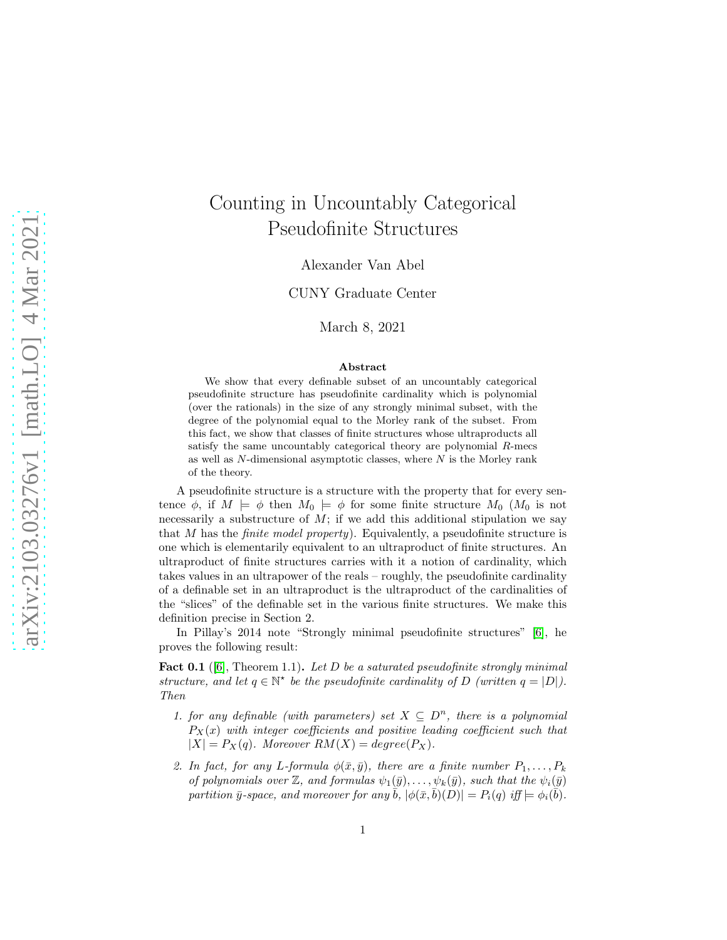# Counting in Uncountably Categorical Pseudofinite Structures

Alexander Van Abel

CUNY Graduate Center

March 8, 2021

#### Abstract

We show that every definable subset of an uncountably categorical pseudofinite structure has pseudofinite cardinality which is polynomial (over the rationals) in the size of any strongly minimal subset, with the degree of the polynomial equal to the Morley rank of the subset. From this fact, we show that classes of finite structures whose ultraproducts all satisfy the same uncountably categorical theory are polynomial R-mecs as well as  $N$ -dimensional asymptotic classes, where  $N$  is the Morley rank of the theory.

A pseudofinite structure is a structure with the property that for every sentence  $\phi$ , if  $M \models \phi$  then  $M_0 \models \phi$  for some finite structure  $M_0$  ( $M_0$  is not necessarily a substructure of  $M$ ; if we add this additional stipulation we say that  $M$  has the *finite model property*). Equivalently, a pseudofinite structure is one which is elementarily equivalent to an ultraproduct of finite structures. An ultraproduct of finite structures carries with it a notion of cardinality, which takes values in an ultrapower of the reals – roughly, the pseudofinite cardinality of a definable set in an ultraproduct is the ultraproduct of the cardinalities of the "slices" of the definable set in the various finite structures. We make this definition precise in Section 2.

In Pillay's 2014 note "Strongly minimal pseudofinite structures" [\[6\]](#page-22-0), he proves the following result:

**Fact 0.1** ([\[6\]](#page-22-0), Theorem 1.1). Let D be a saturated pseudofinite strongly minimal structure, and let  $q \in \mathbb{N}^*$  be the pseudofinite cardinality of D (written  $q = |D|$ ). Then

- 1. for any definable (with parameters) set  $X \subseteq D^n$ , there is a polynomial  $P_X(x)$  with integer coefficients and positive leading coefficient such that  $|X| = P_X(q)$ . Moreover  $RM(X) = degree(P_X)$ .
- 2. In fact, for any L-formula  $\phi(\bar{x}, \bar{y})$ , there are a finite number  $P_1, \ldots, P_k$ of polynomials over  $\mathbb{Z}$ , and formulas  $\psi_1(\bar{y}), \ldots, \psi_k(\bar{y}),$  such that the  $\psi_i(\bar{y})$ partition  $\bar{y}$ -space, and moreover for any  $\bar{b}$ ,  $|\phi(\bar{x}, \bar{b})(D)| = P_i(q)$  iff  $\models \phi_i(\bar{b})$ .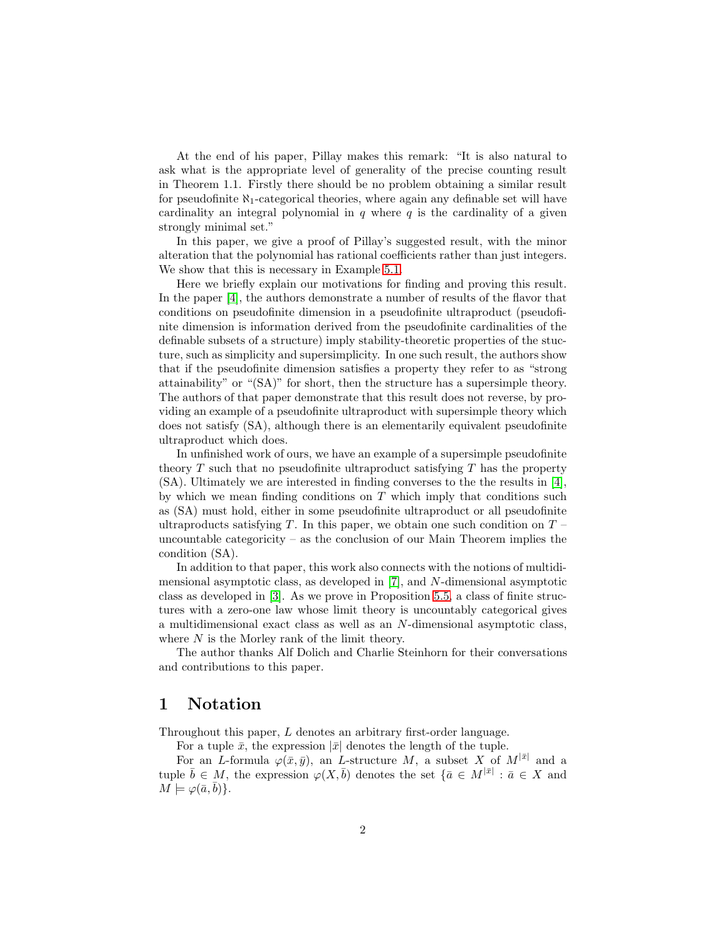At the end of his paper, Pillay makes this remark: "It is also natural to ask what is the appropriate level of generality of the precise counting result in Theorem 1.1. Firstly there should be no problem obtaining a similar result for pseudofinite  $\aleph_1$ -categorical theories, where again any definable set will have cardinality an integral polynomial in  $q$  where  $q$  is the cardinality of a given strongly minimal set."

In this paper, we give a proof of Pillay's suggested result, with the minor alteration that the polynomial has rational coefficients rather than just integers. We show that this is necessary in Example [5.1.](#page-14-0)

Here we briefly explain our motivations for finding and proving this result. In the paper [\[4\]](#page-22-1), the authors demonstrate a number of results of the flavor that conditions on pseudofinite dimension in a pseudofinite ultraproduct (pseudofinite dimension is information derived from the pseudofinite cardinalities of the definable subsets of a structure) imply stability-theoretic properties of the stucture, such as simplicity and supersimplicity. In one such result, the authors show that if the pseudofinite dimension satisfies a property they refer to as "strong attainability" or "(SA)" for short, then the structure has a supersimple theory. The authors of that paper demonstrate that this result does not reverse, by providing an example of a pseudofinite ultraproduct with supersimple theory which does not satisfy (SA), although there is an elementarily equivalent pseudofinite ultraproduct which does.

In unfinished work of ours, we have an example of a supersimple pseudofinite theory  $T$  such that no pseudofinite ultraproduct satisfying  $T$  has the property (SA). Ultimately we are interested in finding converses to the the results in [\[4\]](#page-22-1), by which we mean finding conditions on  $T$  which imply that conditions such as (SA) must hold, either in some pseudofinite ultraproduct or all pseudofinite ultraproducts satisfying T. In this paper, we obtain one such condition on  $T$  – uncountable categoricity – as the conclusion of our Main Theorem implies the condition (SA).

In addition to that paper, this work also connects with the notions of multidimensional asymptotic class, as developed in [\[7\]](#page-22-2), and N-dimensional asymptotic class as developed in [\[3\]](#page-22-3). As we prove in Proposition [5.5,](#page-17-0) a class of finite structures with a zero-one law whose limit theory is uncountably categorical gives a multidimensional exact class as well as an N-dimensional asymptotic class, where  $N$  is the Morley rank of the limit theory.

The author thanks Alf Dolich and Charlie Steinhorn for their conversations and contributions to this paper.

### 1 Notation

Throughout this paper, L denotes an arbitrary first-order language.

For a tuple  $\bar{x}$ , the expression  $|\bar{x}|$  denotes the length of the tuple.

For an L-formula  $\varphi(\bar{x}, \bar{y})$ , an L-structure M, a subset X of  $M^{|\bar{x}|}$  and a tuple  $\bar{b} \in M$ , the expression  $\varphi(X,\bar{b})$  denotes the set  $\{\bar{a} \in M^{|\bar{x}|} : \bar{a} \in X \text{ and }$  $M \models \varphi(\bar{a}, \bar{b})$ .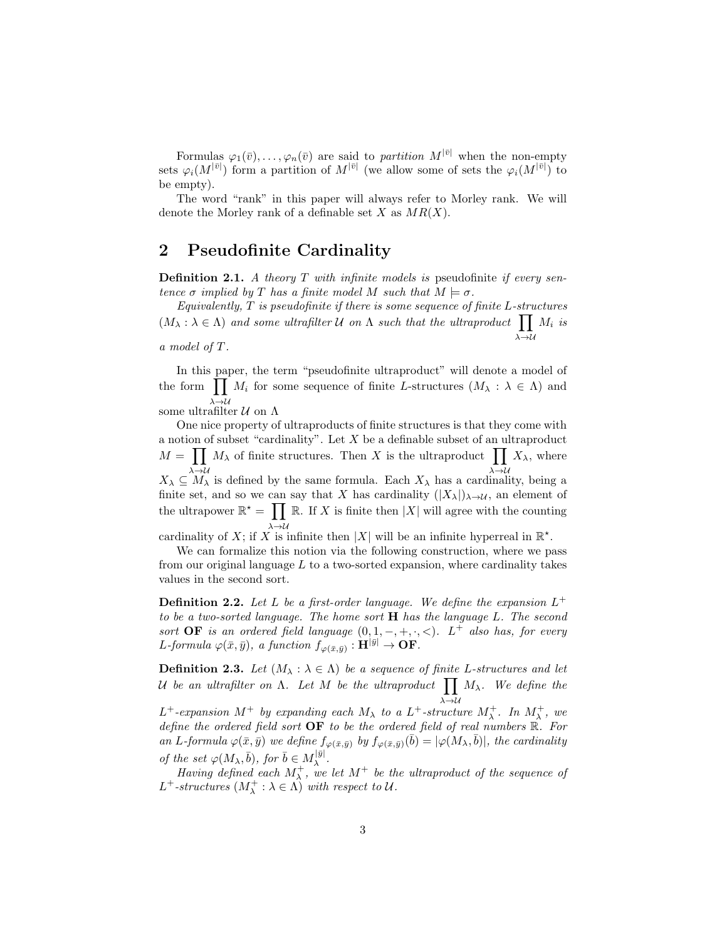Formulas  $\varphi_1(\bar{v}), \ldots, \varphi_n(\bar{v})$  are said to *partition*  $M^{|\bar{v}|}$  when the non-empty sets  $\varphi_i(M^{|\bar{v}|})$  form a partition of  $M^{|\bar{v}|}$  (we allow some of sets the  $\varphi_i(M^{|\bar{v}|})$  to be empty).

The word "rank" in this paper will always refer to Morley rank. We will denote the Morley rank of a definable set X as  $MR(X)$ .

# 2 Pseudofinite Cardinality

**Definition 2.1.** A theory  $T$  with infinite models is pseudofinite if every sentence  $\sigma$  implied by T has a finite model M such that  $M \models \sigma$ .

 $Equivalently, T is pseudofinite if there is some sequence of finite L-structures$  $(M_\lambda : \lambda \in \Lambda)$  and some ultrafilter U on  $\Lambda$  such that the ultraproduct  $\prod$  $\lambda \rightarrow \mathcal{U}$  $M_i$  is

a model of T.

In this paper, the term "pseudofinite ultraproduct" will denote a model of the form  $\prod M_i$  for some sequence of finite L-structures  $(M_\lambda : \lambda \in \Lambda)$  and  $\stackrel{\lambda\to\mathcal{U}}{\operatorname{some}\mathrm{ultrafilter}} \mathcal{U} \mathrm{\ on\ } \Lambda$ 

One nice property of ultraproducts of finite structures is that they come with a notion of subset "cardinality". Let  $X$  be a definable subset of an ultraproduct  $M = \prod M_{\lambda}$  of finite structures. Then X is the ultraproduct  $\prod X_{\lambda}$ , where  $X_{\lambda} \subseteq M_{\lambda}$  is defined by the same formula. Each  $X_{\lambda}$  has a cardinality, being a finite set, and so we can say that X has cardinality  $(|X_\lambda|)_{\lambda \to \mathcal{U}}$ , an element of the ultrapower  $\mathbb{R}^* = \prod \mathbb{R}$ . If X is finite then |X| will agree with the counting cardinality of X; if X is infinite then |X| will be an infinite hyperreal in  $\mathbb{R}^*$ .

We can formalize this notion via the following construction, where we pass from our original language  $L$  to a two-sorted expansion, where cardinality takes values in the second sort.

**Definition 2.2.** Let L be a first-order language. We define the expansion  $L^+$ to be a two-sorted language. The home sort  $H$  has the language L. The second sort **OF** is an ordered field language  $(0, 1, -, +, \cdot, <)$ . L<sup>+</sup> also has, for every L-formula  $\varphi(\bar{x}, \bar{y}),$  a function  $f_{\varphi(\bar{x}, \bar{y})}: \mathbf{H}^{|\bar{y}|} \to \mathbf{OF}.$ 

**Definition 2.3.** Let  $(M_\lambda : \lambda \in \Lambda)$  be a sequence of finite L-structures and let U be an ultrafilter on  $\Lambda$ . Let M be the ultraproduct  $\prod$  $\lambda \rightarrow u$  $M_{\lambda}$ . We define the  $L^+$ -expansion  $M^+$  by expanding each  $M_{\lambda}$  to a  $L^+$ -structure  $M^+_{\lambda}$ . In  $M^+_{\lambda}$ , we define the ordered field sort  $\overrightarrow{OF}$  to be the ordered field of real numbers  $\overrightarrow{R}$ . For an L-formula  $\varphi(\bar{x}, \bar{y})$  we define  $f_{\varphi(\bar{x}, \bar{y})}$  by  $f_{\varphi(\bar{x}, \bar{y})}(\bar{b}) = |\varphi(M_\lambda, \bar{b})|$ , the cardinality of the set  $\varphi(M_\lambda, \bar{b}),$  for  $\bar{b} \in M_\lambda^{|\bar{y}|}$ λ .

Having defined each  $M^+_{\lambda}$ , we let  $M^+$  be the ultraproduct of the sequence of  $L^+$ -structures  $(M^+_{\lambda} : \lambda \in \Lambda)$  with respect to  $\mathcal{U}$ .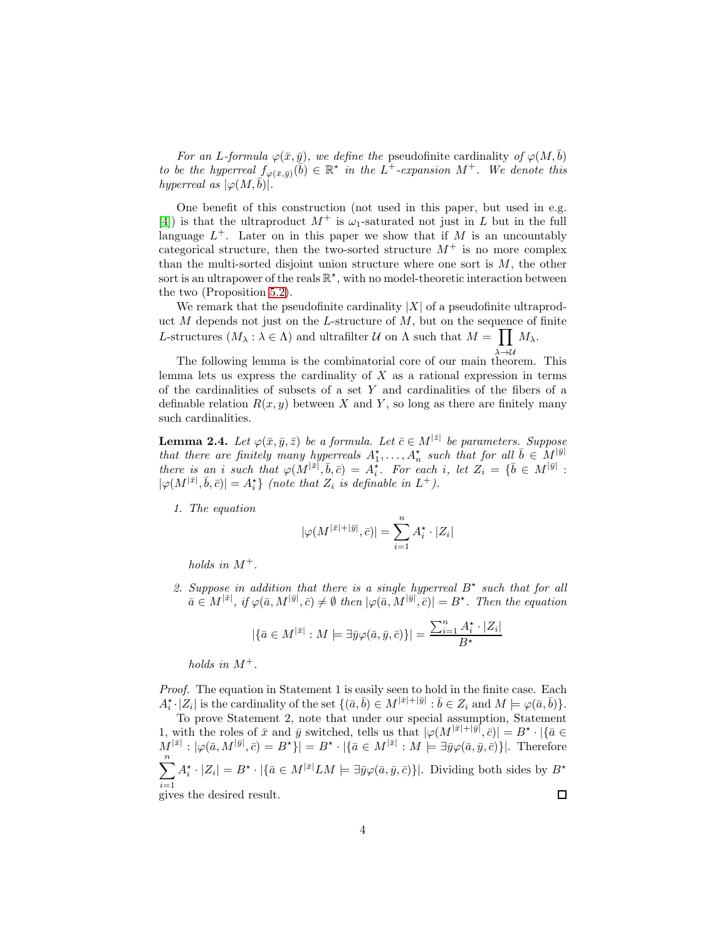For an L-formula  $\varphi(\bar{x}, \bar{y})$ , we define the pseudofinite cardinality of  $\varphi(M, \bar{b})$ to be the hyperreal  $f_{\varphi(\bar{x},\bar{y})}(\bar{b}) \in \mathbb{R}^*$  in the  $L^+$ -expansion  $M^+$ . We denote this hyperreal as  $|\varphi(M, b)|$ .

One benefit of this construction (not used in this paper, but used in e.g. [\[4\]](#page-22-1)) is that the ultraproduct  $M^+$  is  $\omega_1$ -saturated not just in L but in the full language  $L^+$ . Later on in this paper we show that if M is an uncountably categorical structure, then the two-sorted structure  $M^+$  is no more complex than the multi-sorted disjoint union structure where one sort is  $M$ , the other sort is an ultrapower of the reals  $\mathbb{R}^*$ , with no model-theoretic interaction between the two (Proposition [5.2\)](#page-15-0).

We remark that the pseudofinite cardinality  $|X|$  of a pseudofinite ultraproduct  $M$  depends not just on the L-structure of  $M$ , but on the sequence of finite L-structures  $(M_\lambda : \lambda \in \Lambda)$  and ultrafilter U on  $\Lambda$  such that  $M = \prod M_\lambda$ .

The following lemma is the combinatorial core of our main theorem. This lemma lets us express the cardinality of  $X$  as a rational expression in terms of the cardinalities of subsets of a set Y and cardinalities of the fibers of a definable relation  $R(x, y)$  between X and Y, so long as there are finitely many such cardinalities.

<span id="page-3-0"></span>**Lemma 2.4.** Let  $\varphi(\bar{x}, \bar{y}, \bar{z})$  be a formula. Let  $\bar{c} \in M^{|\bar{z}|}$  be parameters. Suppose that there are finitely many hyperreals  $A_1^{\star}, \ldots, A_n^{\star}$  such that for all  $\bar{b} \in M_{-1}^{|\bar{y}|}$ there is an i such that  $\varphi(M^{|\bar{x}|}, \bar{b}, \bar{c}) = A_i^*$ . For each i, let  $Z_i = {\bar{b} \in M^{|\bar{y}|}}$ :  $|\varphi(M^{|\bar{x}|}, \bar{b}, \bar{c})| = A_i^* \}$  (note that  $Z_i$  is definable in  $L^+$ ).

1. The equation

$$
|\varphi(M^{|\bar{x}|+|\bar{y}|},\bar{c})|=\sum_{i=1}^n A_i^\star\cdot |Z_i|
$$

holds in  $M^+$ .

2. Suppose in addition that there is a single hyperreal  $B^*$  such that for all  $\bar{a} \in M^{|\bar{x}|}, \, \text{if} \, \varphi(\bar{a}, M^{|\bar{y}|}, \bar{c}) \neq \emptyset \, \text{then} \, |\varphi(\bar{a}, M^{|\bar{y}|}, \bar{c})| = B^{\star}.$  Then the equation

$$
|\{\bar{a}\in M^{|\bar{x}|}:M\models \exists \bar{y}\varphi(\bar{a},\bar{y},\bar{c})\}|=\frac{\sum_{i=1}^nA^{\star}_i\cdot|Z_i|}{B^{\star}}
$$

holds in  $M^+$ .

Proof. The equation in Statement 1 is easily seen to hold in the finite case. Each  $A_i^{\star} \cdot |Z_i|$  is the cardinality of the set  $\{(\bar{a}, \bar{b}) \in M^{|\bar{x}|+|\bar{y}|} : \bar{b} \in Z_i \text{ and } M \models \varphi(\bar{a}, \bar{b})\}.$ 

To prove Statement 2, note that under our special assumption, Statement 1, with the roles of  $\bar{x}$  and  $\bar{y}$  switched, tells us that  $|\varphi(M^{|\bar{x}|+|\bar{y}|}, \bar{c})| = B^* \cdot |\{\bar{a} \in$  $M^{|\bar{x}|}: |\varphi(\bar{a}, M^{|\bar{y}|}, \bar{c}) = B^{\star} \}| = B^{\star} \cdot |\{\bar{a} \in M^{|\bar{x}|}: M \models \exists \bar{y} \varphi(\bar{a}, \bar{y}, \bar{c})\}|.$  Therefore  $\sum_{n=1}^{\infty}$  $A_i^{\star} \cdot |Z_i| = B^{\star} \cdot |\{\bar{a} \in M^{|\bar{x}|}LM \models \exists \bar{y} \varphi(\bar{a}, \bar{y}, \bar{c})\}|$ . Dividing both sides by  $B^{\star}$  $\frac{i=1}{i}$ gives the desired result.  $\Box$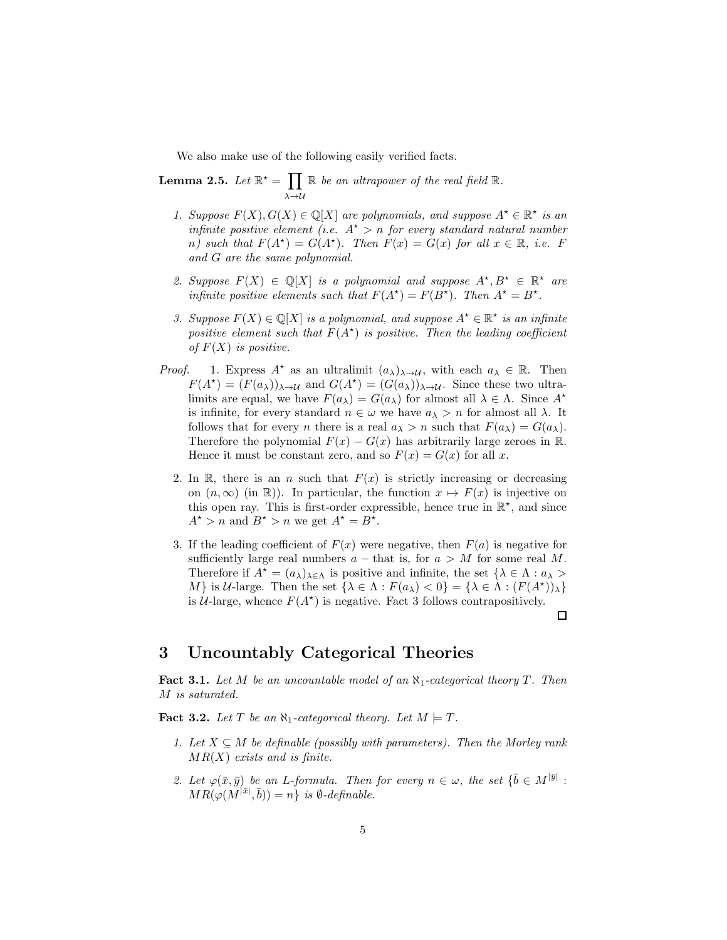We also make use of the following easily verified facts.

<span id="page-4-1"></span>Lemma 2.5. Let  $\mathbb{R}^* = \prod$  $\lambda\rightarrow\mathcal{U}$  $\mathbb R$  be an ultrapower of the real field  $\mathbb R$ .

- 1. Suppose  $F(X), G(X) \in \mathbb{Q}[X]$  are polynomials, and suppose  $A^* \in \mathbb{R}^*$  is an infinite positive element (i.e.  $A^* > n$  for every standard natural number n) such that  $F(A^*) = G(A^*)$ . Then  $F(x) = G(x)$  for all  $x \in \mathbb{R}$ , i.e. F and G are the same polynomial.
- 2. Suppose  $F(X) \in \mathbb{Q}[X]$  is a polynomial and suppose  $A^*, B^* \in \mathbb{R}^*$  are infinite positive elements such that  $F(A^*) = F(B^*)$ . Then  $A^* = B^*$ .
- 3. Suppose  $F(X) \in \mathbb{Q}[X]$  is a polynomial, and suppose  $A^* \in \mathbb{R}^*$  is an infinite positive element such that  $F(A^*)$  is positive. Then the leading coefficient of  $F(X)$  is positive.
- *Proof.* 1. Express  $A^*$  as an ultralimit  $(a_\lambda)_{\lambda \to \mathcal{U}}$ , with each  $a_\lambda \in \mathbb{R}$ . Then  $F(A^*) = (F(a_\lambda))_{\lambda \to \mathcal{U}}$  and  $G(A^*) = (G(a_\lambda))_{\lambda \to \mathcal{U}}$ . Since these two ultralimits are equal, we have  $F(a_\lambda) = G(a_\lambda)$  for almost all  $\lambda \in \Lambda$ . Since  $A^*$ is infinite, for every standard  $n \in \omega$  we have  $a_{\lambda} > n$  for almost all  $\lambda$ . It follows that for every *n* there is a real  $a_{\lambda} > n$  such that  $F(a_{\lambda}) = G(a_{\lambda})$ . Therefore the polynomial  $F(x) - G(x)$  has arbitrarily large zeroes in R. Hence it must be constant zero, and so  $F(x) = G(x)$  for all x.
	- 2. In  $\mathbb{R}$ , there is an *n* such that  $F(x)$  is strictly increasing or decreasing on  $(n, \infty)$  (in R)). In particular, the function  $x \mapsto F(x)$  is injective on this open ray. This is first-order expressible, hence true in  $\mathbb{R}^*$ , and since  $A^{\star} > n$  and  $B^{\star} > n$  we get  $A^{\star} = B^{\star}$ .
	- 3. If the leading coefficient of  $F(x)$  were negative, then  $F(a)$  is negative for sufficiently large real numbers  $a$  – that is, for  $a > M$  for some real M. Therefore if  $A^* = (a_\lambda)_{\lambda \in \Lambda}$  is positive and infinite, the set  $\{\lambda \in \Lambda : a_\lambda > \lambda\}$ M is U-large. Then the set  $\{\lambda \in \Lambda : F(a_{\lambda}) < 0\} = \{\lambda \in \Lambda : (F(A^*))_{\lambda}\}\$ is  $U$ -large, whence  $F(A^*)$  is negative. Fact 3 follows contrapositively.  $\Box$

#### 3 Uncountably Categorical Theories

**Fact 3.1.** Let M be an uncountable model of an  $\aleph_1$ -categorical theory T. Then M is saturated.

<span id="page-4-0"></span>**Fact 3.2.** Let T be an  $\aleph_1$ -categorical theory. Let  $M \models T$ .

- 1. Let  $X \subseteq M$  be definable (possibly with parameters). Then the Morley rank  $MR(X)$  exists and is finite.
- 2. Let  $\varphi(\bar{x}, \bar{y})$  be an L-formula. Then for every  $n \in \omega$ , the set  $\{\bar{b} \in M^{|\bar{y}|} :$  $MR(\varphi(M^{|\bar{x}|}, \bar{b})) = n$  is  $\emptyset$ -definable.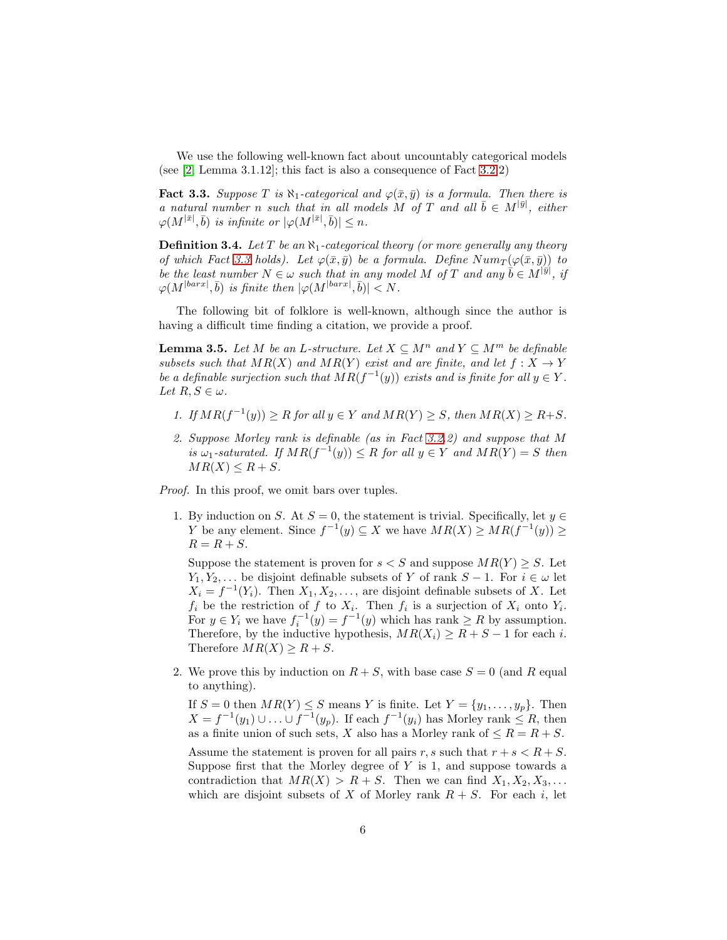We use the following well-known fact about uncountably categorical models (see [\[2,](#page-21-0) Lemma 3.1.12]; this fact is also a consequence of Fact [3.2.](#page-4-0)2)

<span id="page-5-0"></span>**Fact 3.3.** Suppose T is  $\aleph_1$ -categorical and  $\varphi(\bar{x}, \bar{y})$  is a formula. Then there is a natural number n such that in all models M of T and all  $\bar{b} \in M^{|\bar{y}|}$ , either  $\varphi(M^{|\bar{x}|}, \bar{b})$  is infinite or  $|\varphi(M^{|\bar{x}|}, \bar{b})| \leq n$ .

<span id="page-5-1"></span>**Definition 3.4.** Let T be an  $\aleph_1$ -categorical theory (or more generally any theory of which Fact [3.3](#page-5-0) holds). Let  $\varphi(\bar{x}, \bar{y})$  be a formula. Define  $Num_T(\varphi(\bar{x}, \bar{y}))$  to be the least number  $N \in \omega$  such that in any model M of T and any  $\vec{b} \in M^{[\vec{y}]}$ , if  $\varphi(M^{|\textit{barr}|}, \bar{b})$  is finite then  $|\varphi(M^{|\textit{barr}|}, \bar{b})| < N$ .

The following bit of folklore is well-known, although since the author is having a difficult time finding a citation, we provide a proof.

<span id="page-5-2"></span>**Lemma 3.5.** Let M be an L-structure. Let  $X \subseteq M^n$  and  $Y \subseteq M^m$  be definable subsets such that  $MR(X)$  and  $MR(Y)$  exist and are finite, and let  $f: X \to Y$ be a definable surjection such that  $MR(f^{-1}(y))$  exists and is finite for all  $y \in Y$ . Let  $R, S \in \omega$ .

- 1. If  $MR(f^{-1}(y)) \geq R$  for all  $y \in Y$  and  $MR(Y) \geq S$ , then  $MR(X) \geq R+S$ .
- 2. Suppose Morley rank is definable (as in Fact [3.2.](#page-4-0)2) and suppose that M is  $\omega_1$ -saturated. If  $MR(f^{-1}(y)) \leq R$  for all  $y \in Y$  and  $MR(Y) = S$  then  $MR(X) \leq R + S$ .

Proof. In this proof, we omit bars over tuples.

1. By induction on S. At  $S = 0$ , the statement is trivial. Specifically, let  $y \in$ Y be any element. Since  $f^{-1}(y) \subseteq X$  we have  $MR(X) \ge MR(f^{-1}(y)) \ge$  $R = R + S$ .

Suppose the statement is proven for  $s < S$  and suppose  $MR(Y) > S$ . Let  $Y_1, Y_2, \ldots$  be disjoint definable subsets of Y of rank  $S-1$ . For  $i \in \omega$  let  $X_i = f^{-1}(Y_i)$ . Then  $X_1, X_2, \ldots$ , are disjoint definable subsets of X. Let  $f_i$  be the restriction of f to  $X_i$ . Then  $f_i$  is a surjection of  $X_i$  onto  $Y_i$ . For  $y \in Y_i$  we have  $f_i^{-1}(y) = f^{-1}(y)$  which has rank  $\ge R$  by assumption. Therefore, by the inductive hypothesis,  $MR(X_i) \geq R + S - 1$  for each i. Therefore  $MR(X) \geq R + S$ .

2. We prove this by induction on  $R + S$ , with base case  $S = 0$  (and R equal to anything).

If  $S = 0$  then  $MR(Y) \leq S$  means Y is finite. Let  $Y = \{y_1, \ldots, y_p\}$ . Then  $X = f^{-1}(y_1) \cup \ldots \cup f^{-1}(y_p)$ . If each  $f^{-1}(y_i)$  has Morley rank  $\leq R$ , then as a finite union of such sets, X also has a Morley rank of  $\leq R = R + S$ .

Assume the statement is proven for all pairs r, s such that  $r + s < R + S$ . Suppose first that the Morley degree of  $Y$  is 1, and suppose towards a contradiction that  $MR(X) > R + S$ . Then we can find  $X_1, X_2, X_3, \ldots$ which are disjoint subsets of X of Morley rank  $R + S$ . For each i, let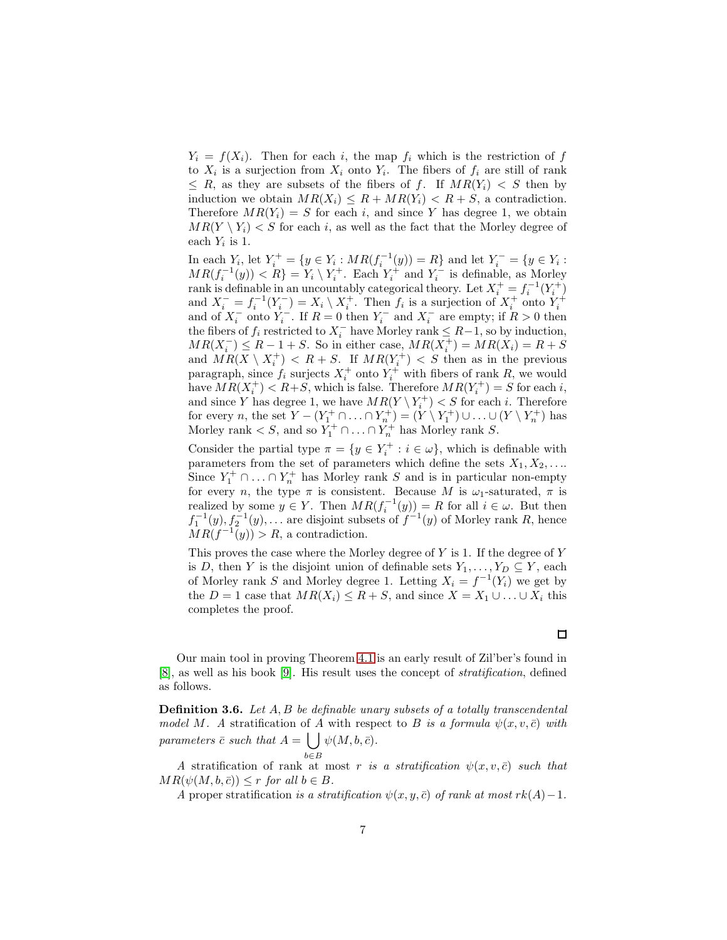$Y_i = f(X_i)$ . Then for each i, the map  $f_i$  which is the restriction of f to  $X_i$  is a surjection from  $X_i$  onto  $Y_i$ . The fibers of  $f_i$  are still of rank  $\leq R$ , as they are subsets of the fibers of f. If  $MR(Y_i) < S$  then by induction we obtain  $MR(X_i) \leq R + MR(Y_i) < R + S$ , a contradiction. Therefore  $MR(Y_i) = S$  for each i, and since Y has degree 1, we obtain  $MR(Y \setminus Y_i) < S$  for each i, as well as the fact that the Morley degree of each  $Y_i$  is 1.

In each  $Y_i$ , let  $Y_i^+ = \{y \in Y_i : MR(f_i^{-1}(y)) = R\}$  and let  $Y_i^- = \{y \in Y_i : R(f_i^{-1}(y)) = R\}$  $MR(f_i^{-1}(y)) < R$  =  $Y_i \setminus Y_i^+$ . Each  $Y_i^+$  and  $Y_i^-$  is definable, as Morley rank is definable in an uncountably categorical theory. Let  $X_i^+ = f_i^{-1}(Y_i^+)$ and  $X_i^- = f_i^{-1}(Y_i^-) = X_i \setminus X_i^+$ . Then  $f_i$  is a surjection of  $X_i^+$  onto  $Y_i^+$  and of  $X_i^-$  onto  $Y_i^-$ . If  $R = 0$  then  $Y_i^-$  and  $X_i^-$  are empty; if  $R > 0$  then the fibers of  $f_i$  restricted to  $X_i^-$  have Morley rank  $\leq R-1$ , so by induction,  $MR(X_i^-) \leq R - 1 + S$ . So in either case,  $MR(X_i^+) = MR(X_i) = R + S$ and  $MR(X \setminus X_i^+) < R + S$ . If  $MR(Y_i^+) < S$  then as in the previous paragraph, since  $f_i$  surjects  $X_i^+$  onto  $Y_i^+$  with fibers of rank R, we would have  $MR(X_i^+) < R+S$ , which is false. Therefore  $MR(Y_i^+) = S$  for each i, and since Y has degree 1, we have  $MR(Y \setminus Y_i^+) < S$  for each *i*. Therefore for every n, the set  $Y - (Y_1^+ \cap ... \cap Y_n^+) = (Y \setminus Y_1^+) \cup ... \cup (Y \setminus Y_n^+)$  has Morley rank  $\lt S$ , and so  $Y_1^+ \cap \ldots \cap Y_n^+$  has Morley rank S.

Consider the partial type  $\pi = \{y \in Y_i^+ : i \in \omega\}$ , which is definable with parameters from the set of parameters which define the sets  $X_1, X_2, \ldots$ Since  $Y_1^+ \cap \ldots \cap Y_n^+$  has Morley rank S and is in particular non-empty for every n, the type  $\pi$  is consistent. Because M is  $\omega_1$ -saturated,  $\pi$  is realized by some  $y \in Y$ . Then  $MR(f_i^{-1}(y)) = R$  for all  $i \in \omega$ . But then Fractal by some  $y \in T$ . Then  $M\mathcal{H}(f_i^{-1}(y)) = R$  for an  $i \in \mathbb{Z}$ . But then  $f_1^{-1}(y), f_2^{-1}(y), \ldots$  are disjoint subsets of  $f^{-1}(y)$  of Morley rank R, hence  $MR(f^{-1}(y)) > R$ , a contradiction.

This proves the case where the Morley degree of  $Y$  is 1. If the degree of  $Y$ is D, then Y is the disjoint union of definable sets  $Y_1, \ldots, Y_D \subseteq Y$ , each of Morley rank S and Morley degree 1. Letting  $X_i = f^{-1}(Y_i)$  we get by the  $D = 1$  case that  $MR(X_i) \leq R + S$ , and since  $X = X_1 \cup \ldots \cup X_i$  this completes the proof.

Our main tool in proving Theorem [4.1](#page-9-0) is an early result of Zil'ber's found in [\[8\]](#page-22-4), as well as his book [\[9\]](#page-22-5). His result uses the concept of stratification, defined as follows.

**Definition 3.6.** Let  $A, B$  be definable unary subsets of a totally transcendental model M. A stratification of A with respect to B is a formula  $\psi(x, v, \bar{c})$  with parameters  $\bar{c}$  such that  $A = \int \int \psi(M, b, \bar{c}).$ 

B
A stratification of rank at most r is a stratification  $\psi(x, v, \bar{c})$  such that  $MR(\psi(M, b, \bar{c})) \leq r$  for all  $b \in B$ .

A proper stratification is a stratification  $\psi(x, y, \bar{c})$  of rank at most rk(A)–1.

 $\Box$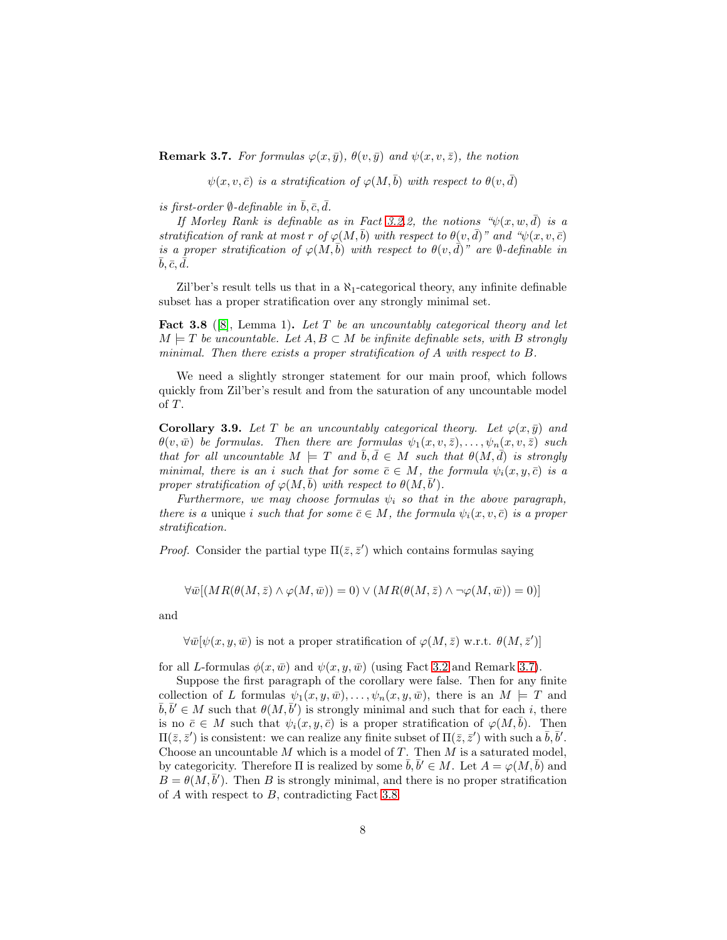<span id="page-7-0"></span>**Remark 3.7.** For formulas  $\varphi(x,\bar{y}), \theta(v,\bar{y})$  and  $\psi(x, v, \bar{z}),$  the notion

 $\psi(x, v, \bar{c})$  is a stratification of  $\varphi(M, \bar{b})$  with respect to  $\theta(v, \bar{d})$ 

is first-order  $\emptyset$ -definable in  $\bar{b}, \bar{c}, \bar{d}$ .

If Morley Rank is definable as in Fact [3.2.](#page-4-0)2, the notions  $\mathcal{L}(x, w, \bar{d})$  is a stratification of rank at most r of  $\varphi(M, \bar{b})$  with respect to  $\theta(v, \bar{d})$ " and " $\psi(x, v, \bar{c})$ is a proper stratification of  $\varphi(M, b)$  with respect to  $\theta(v, d)$ " are  $\emptyset$ -definable in  $\bar{b}, \bar{c}, \bar{\bar{d}}.$ 

Zil'ber's result tells us that in a  $\aleph_1$ -categorical theory, any infinite definable subset has a proper stratification over any strongly minimal set.

<span id="page-7-1"></span>**Fact 3.8** ([\[8\]](#page-22-4), Lemma 1). Let T be an uncountably categorical theory and let  $M \models T$  be uncountable. Let  $A, B \subset M$  be infinite definable sets, with B strongly minimal. Then there exists a proper stratification of A with respect to B.

We need a slightly stronger statement for our main proof, which follows quickly from Zil'ber's result and from the saturation of any uncountable model of  $T$ .

<span id="page-7-2"></span>**Corollary 3.9.** Let T be an uncountably categorical theory. Let  $\varphi(x, \bar{y})$  and  $\theta(v,\bar{w})$  be formulas. Then there are formulas  $\psi_1(x,v,\bar{z}), \ldots, \psi_n(x,v,\bar{z})$  such that for all uncountable  $M \models T$  and  $\bar{b}, \bar{d} \in M$  such that  $\theta(M, \bar{d})$  is strongly minimal, there is an i such that for some  $\bar{c} \in M$ , the formula  $\psi_i(x, y, \bar{c})$  is a proper stratification of  $\varphi(M,\bar{b})$  with respect to  $\theta(M,\bar{b}').$ 

Furthermore, we may choose formulas  $\psi_i$  so that in the above paragraph, there is a unique i such that for some  $\bar{c} \in M$ , the formula  $\psi_i(x, v, \bar{c})$  is a proper stratification.

*Proof.* Consider the partial type  $\Pi(\bar{z}, \bar{z}')$  which contains formulas saying

$$
\forall \overline{w}[(MR(\theta(M,\overline{z}) \land \varphi(M,\overline{w})) = 0) \lor (MR(\theta(M,\overline{z}) \land \neg \varphi(M,\overline{w})) = 0)]
$$

and

 $\forall \bar{w}[\psi(x,y,\bar{w}) \text{ is not a proper stratification of } \varphi(M,\bar{z}) \text{ w.r.t. } \theta(M,\bar{z}')]$ 

for all L-formulas  $\phi(x, \bar{w})$  and  $\psi(x, y, \bar{w})$  (using Fact [3.2](#page-4-0) and Remark [3.7\)](#page-7-0).

Suppose the first paragraph of the corollary were false. Then for any finite collection of L formulas  $\psi_1(x, y, \bar{w}), \ldots, \psi_n(x, y, \bar{w}),$  there is an  $M \models T$  and  $\bar{b}, \bar{b}' \in M$  such that  $\theta(M, \bar{b}')$  is strongly minimal and such that for each i, there is no  $\bar{c} \in M$  such that  $\psi_i(x, y, \bar{c})$  is a proper stratification of  $\varphi(M, \bar{b})$ . Then  $\Pi(\bar{z}, \bar{z}')$  is consistent: we can realize any finite subset of  $\Pi(\bar{z}, \bar{z}')$  with such a  $\bar{b}, \bar{b}'$ . Choose an uncountable  $M$  which is a model of  $T$ . Then  $M$  is a saturated model, by categoricity. Therefore  $\Pi$  is realized by some  $\bar{b}, \bar{b}' \in M$ . Let  $A = \varphi(M, \bar{b})$  and  $B = \theta(M, \bar{b}')$ . Then B is strongly minimal, and there is no proper stratification of  $A$  with respect to  $B$ , contradicting Fact [3.8.](#page-7-1)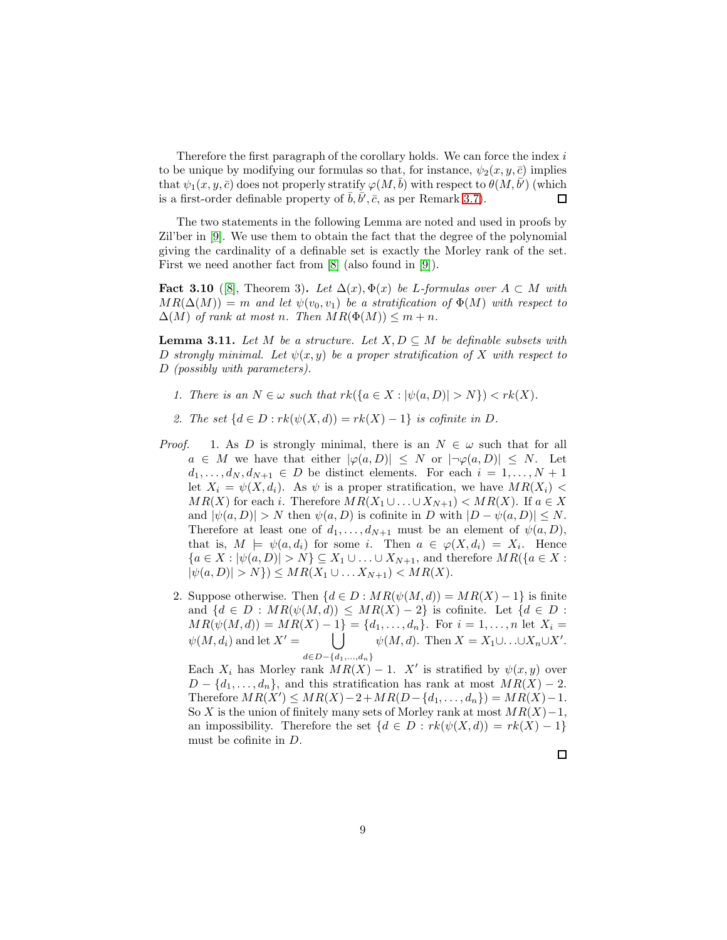Therefore the first paragraph of the corollary holds. We can force the index  $i$ to be unique by modifying our formulas so that, for instance,  $\psi_2(x, y, \bar{c})$  implies that  $\psi_1(x,y,\bar c)$  does not properly stratify  $\varphi(M,\bar b)$  with respect to  $\theta(M,\bar b')$  (which is a first-order definable property of  $\bar{b}, \bar{b'}, \bar{c}$ , as per Remark [3.7\)](#page-7-0). □

The two statements in the following Lemma are noted and used in proofs by Zil'ber in [\[9\]](#page-22-5). We use them to obtain the fact that the degree of the polynomial giving the cardinality of a definable set is exactly the Morley rank of the set. First we need another fact from [\[8\]](#page-22-4) (also found in [\[9\]](#page-22-5)).

Fact 3.10 ([\[8\]](#page-22-4), Theorem 3). Let  $\Delta(x), \Phi(x)$  be L-formulas over  $A \subset M$  with  $MR(\Delta(M)) = m$  and let  $\psi(v_0, v_1)$  be a stratification of  $\Phi(M)$  with respect to  $\Delta(M)$  of rank at most n. Then  $MR(\Phi(M)) \leq m+n$ .

<span id="page-8-0"></span>**Lemma 3.11.** Let M be a structure. Let  $X, D \subseteq M$  be definable subsets with D strongly minimal. Let  $\psi(x, y)$  be a proper stratification of X with respect to D (possibly with parameters).

- 1. There is an  $N \in \omega$  such that  $rk({a \in X : |\psi(a, D)| > N}) < rk(X)$ .
- 2. The set  $\{d \in D : rk(\psi(X, d)) = rk(X) 1\}$  is cofinite in D.
- *Proof.* 1. As D is strongly minimal, there is an  $N \in \omega$  such that for all  $a \in M$  we have that either  $|\varphi(a, D)| \leq N$  or  $|\neg \varphi(a, D)| \leq N$ . Let  $d_1, \ldots, d_N, d_{N+1} \in D$  be distinct elements. For each  $i = 1, \ldots, N+1$ let  $X_i = \psi(X, d_i)$ . As  $\psi$  is a proper stratification, we have  $MR(X_i)$  <  $MR(X)$  for each i. Therefore  $MR(X_1 \cup ... \cup X_{N+1}) < MR(X)$ . If  $a \in X$ and  $|\psi(a, D)| > N$  then  $\psi(a, D)$  is cofinite in D with  $|D - \psi(a, D)| \leq N$ . Therefore at least one of  $d_1, \ldots, d_{N+1}$  must be an element of  $\psi(a, D)$ , that is,  $M \models \psi(a, d_i)$  for some i. Then  $a \in \varphi(X, d_i) = X_i$ . Hence  ${a \in X : |\psi(a, D)| > N} \subseteq X_1 \cup ... \cup X_{N+1}$ , and therefore  $MR({a \in X : |\psi(a, D)| > N})$  $|\psi(a, D)| > N$ }  $\leq MR(X_1 \cup ... X_{N+1}) < MR(X)$ .
	- 2. Suppose otherwise. Then  $\{d \in D : MR(\psi(M, d)) = MR(X) 1\}$  is finite and  $\{d \in D : MR(\psi(M, d)) \le MR(X) - 2\}$  is cofinite. Let  $\{d \in D : MR(\psi(M, d)) \le MR(X) - 2\}$  $MR(\psi(M, d)) = MR(X) - 1$  = { $d_1, ..., d_n$ }. For  $i = 1, ..., n$  let  $X_i =$  $\psi(M, d_i)$  and let  $X' =$  $\bigcup$  $d \in D - \{d_1, ..., d_n\}$  $\psi(M, d)$ . Then  $X = X_1 \cup \ldots \cup X_n \cup X'$ .

Each  $X_i$  has Morley rank  $MR(X) - 1$ . X' is stratified by  $\psi(x, y)$  over  $D - \{d_1, \ldots, d_n\}$ , and this stratification has rank at most  $MR(X) - 2$ . Therefore  $MR(X') \le MR(X) - 2 + MR(D - \{d_1, ..., d_n\}) = MR(X) - 1.$ So X is the union of finitely many sets of Morley rank at most  $MR(X)-1$ , an impossibility. Therefore the set  $\{d \in D : rk(\psi(X, d)) = rk(X) - 1\}$ must be cofinite in D.

$$
\sqcup
$$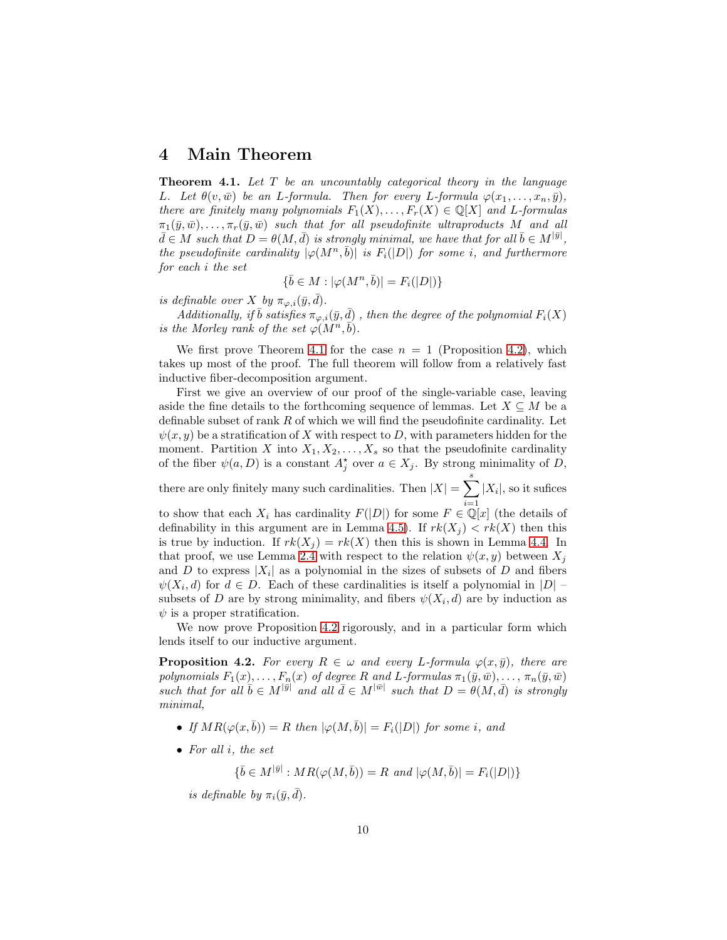#### 4 Main Theorem

<span id="page-9-0"></span>**Theorem 4.1.** Let  $T$  be an uncountably categorical theory in the language L. Let  $\theta(v,\bar{w})$  be an L-formula. Then for every L-formula  $\varphi(x_1,\ldots,x_n,\bar{y}),$ there are finitely many polynomials  $F_1(X), \ldots, F_r(X) \in \mathbb{Q}[X]$  and L-formulas  $\pi_1(\bar{y}, \bar{w}), \ldots, \pi_r(\bar{y}, \bar{w})$  such that for all pseudofinite ultraproducts M and all  $\bar{d} \in M$  such that  $D = \theta(M, \bar{d})$  is strongly minimal, we have that for all  $\bar{b} \in M^{|\bar{y}|}$ , the pseudofinite cardinality  $|\varphi(M^n, \overline{b})|$  is  $F_i(|D|)$  for some i, and furthermore for each i the set

$$
\{\bar{b} \in M : |\varphi(M^n, \bar{b})| = F_i(|D|)\}
$$

is definable over X by  $\pi_{\varphi,i}(\bar{y},\bar{d})$ .

Additionally, if  $\bar{b}$  satisfies  $\pi_{\varphi,i}(\bar{y}, \bar{d})$ , then the degree of the polynomial  $F_i(X)$ is the Morley rank of the set  $\varphi(M^n, \vec{b})$ .

We first prove Theorem [4.1](#page-9-0) for the case  $n = 1$  (Proposition [4.2\)](#page-9-1), which takes up most of the proof. The full theorem will follow from a relatively fast inductive fiber-decomposition argument.

First we give an overview of our proof of the single-variable case, leaving aside the fine details to the forthcoming sequence of lemmas. Let  $X \subseteq M$  be a definable subset of rank  $R$  of which we will find the pseudofinite cardinality. Let  $\psi(x, y)$  be a stratification of X with respect to D, with parameters hidden for the moment. Partition X into  $X_1, X_2, \ldots, X_s$  so that the pseudofinite cardinality of the fiber  $\psi(a, D)$  is a constant  $A_j^*$  over  $a \in X_j$ . By strong minimality of D,

there are only finitely many such cardinalities. Then  $|X| = \sum_{i=1}^{s} |X_i|$ , so it sufices

to show that each  $X_i$  has cardinality  $F(|D|)$  for some  $F \in \mathbb{Q}[x]$  (the details of definability in this argument are in Lemma [4.5\)](#page-12-0). If  $rk(X_j) < rk(X)$  then this is true by induction. If  $rk(X_j) = rk(X)$  then this is shown in Lemma [4.4.](#page-10-0) In that proof, we use Lemma [2.4](#page-3-0) with respect to the relation  $\psi(x, y)$  between  $X_i$ and D to express  $|X_i|$  as a polynomial in the sizes of subsets of D and fibers  $\psi(X_i, d)$  for  $d \in D$ . Each of these cardinalities is itself a polynomial in  $|D|$ subsets of D are by strong minimality, and fibers  $\psi(X_i, d)$  are by induction as  $\psi$  is a proper stratification.

We now prove Proposition [4.2](#page-9-1) rigorously, and in a particular form which lends itself to our inductive argument.

<span id="page-9-1"></span>**Proposition 4.2.** For every  $R \in \omega$  and every L-formula  $\varphi(x, \bar{y})$ , there are polynomials  $F_1(x), \ldots, F_n(x)$  of degree R and L-formulas  $\pi_1(\bar{y}, \bar{w}), \ldots, \pi_n(\bar{y}, \bar{w})$ such that for all  $\bar{b} \in M^{|\bar{y}|}$  and all  $\bar{d} \in M^{|\bar{w}|}$  such that  $D = \theta(M, \bar{d})$  is strongly minimal,

- If  $MR(\varphi(x, \bar{b})) = R$  then  $|\varphi(M, \bar{b})| = F_i(|D|)$  for some i, and
- For all  $i$ , the set

 $\{\bar{b} \in M^{|\bar{y}|} : MR(\varphi(M, \bar{b})) = R \text{ and } |\varphi(M, \bar{b})| = F_i(|D|)\}$ 

is definable by  $\pi_i(\bar{y}, \bar{d})$ .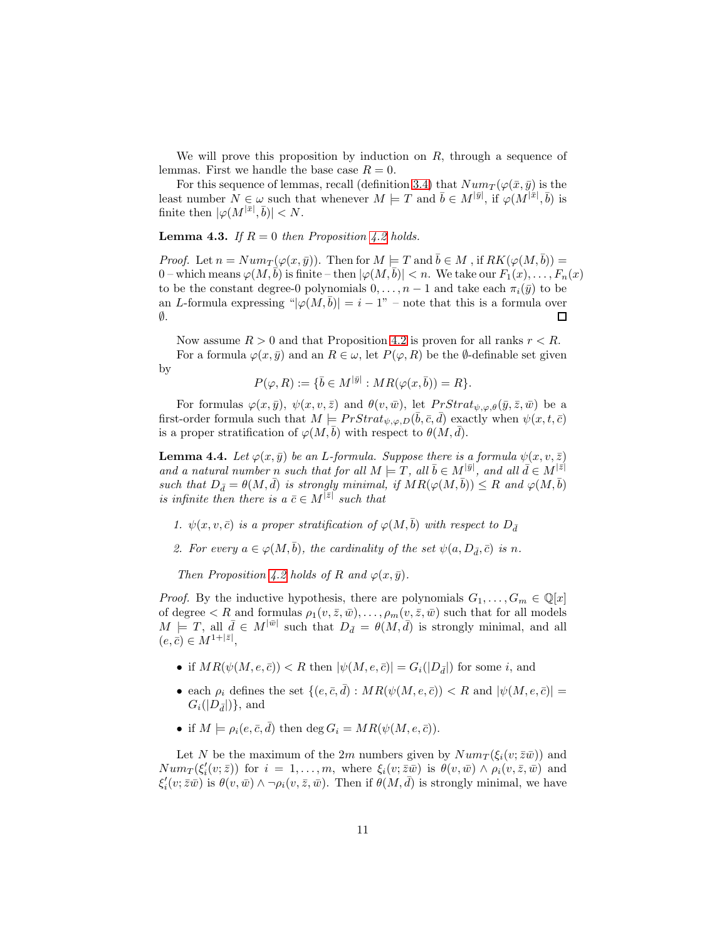We will prove this proposition by induction on  $R$ , through a sequence of lemmas. First we handle the base case  $R = 0$ .

For this sequence of lemmas, recall (definition [3.4\)](#page-5-1) that  $Num_T(\varphi(\bar{x}, \bar{y}))$  is the least number  $N \in \omega$  such that whenever  $M \models T$  and  $\bar{b} \in M^{|\bar{y}|}$ , if  $\varphi(M^{|\bar{x}|}, \bar{b})$  is finite then  $|\varphi(M^{|\bar{x}|}, \bar{b})| < N$ .

**Lemma 4.3.** If  $R = 0$  then Proposition [4.2](#page-9-1) holds.

*Proof.* Let  $n = Num_T(\varphi(x, \bar{y}))$ . Then for  $M \models T$  and  $\bar{b} \in M$ , if  $RK(\varphi(M, \bar{b})) =$ 0 – which means  $\varphi(M, \bar{b})$  is finite – then  $|\varphi(M, \bar{b})| < n$ . We take our  $F_1(x), \ldots, F_n(x)$ to be the constant degree-0 polynomials  $0, \ldots, n-1$  and take each  $\pi_i(\bar{y})$  to be an L-formula expressing " $|\varphi(M, \bar{b})| = i - 1$ " – note that this is a formula over ∅.  $\Box$ 

Now assume  $R > 0$  and that Proposition [4.2](#page-9-1) is proven for all ranks  $r < R$ . For a formula  $\varphi(x,\bar{y})$  and an  $R \in \omega$ , let  $P(\varphi, R)$  be the  $\emptyset$ -definable set given by

$$
P(\varphi, R) := \{ \bar{b} \in M^{|\bar{y}|} : MR(\varphi(x, \bar{b})) = R \}.
$$

For formulas  $\varphi(x,\bar{y}), \psi(x,v,\bar{z})$  and  $\theta(v,\bar{w}),$  let  $PrStrat_{\psi,\varphi,\theta}(\bar{y},\bar{z},\bar{w})$  be a first-order formula such that  $M \models PrStrat_{\psi,\varphi,D}(\bar{b},\bar{c},\bar{d})$  exactly when  $\psi(x,t,\bar{c})$ is a proper stratification of  $\varphi(M, b)$  with respect to  $\theta(M, d)$ .

<span id="page-10-0"></span>**Lemma 4.4.** Let  $\varphi(x, \bar{y})$  be an L-formula. Suppose there is a formula  $\psi(x, v, \bar{z})$ and a natural number n such that for all  $M \models T$ , all  $\overline{b} \in M^{|\overline{y}|}$ , and all  $\overline{d} \in M^{|\overline{z}|}$ such that  $D_{\bar{d}} = \theta(M, \bar{d})$  is strongly minimal, if  $MR(\varphi(M, \bar{b})) \leq R$  and  $\varphi(M, \bar{b})$ is infinite then there is a  $\bar{c} \in M^{|\bar{z}|}$  such that

1.  $\psi(x, v, \bar{c})$  is a proper stratification of  $\varphi(M, \bar{b})$  with respect to  $D_{\bar{d}}$ 

2. For every  $a \in \varphi(M, \bar{b})$ , the cardinality of the set  $\psi(a, D_{\bar{d}}, \bar{c})$  is n.

Then Proposition [4.2](#page-9-1) holds of R and  $\varphi(x,\bar{y})$ .

*Proof.* By the inductive hypothesis, there are polynomials  $G_1, \ldots, G_m \in \mathbb{Q}[x]$ of degree  $\lt R$  and formulas  $\rho_1(v, \bar{z}, \bar{w}), \ldots, \rho_m(v, \bar{z}, \bar{w})$  such that for all models  $M \models T$ , all  $\bar{d} \in M^{|\bar{w}|}$  such that  $D_{\bar{d}} = \theta(M, \bar{d})$  is strongly minimal, and all  $(e, \bar{c}) \in M^{1 + |\bar{z}|},$ 

- if  $MR(\psi(M, e, \bar{c})) < R$  then  $|\psi(M, e, \bar{c})| = G_i(|D_{\bar{d}}|)$  for some i, and
- each  $\rho_i$  defines the set  $\{(e, \bar{c}, \bar{d}) : MR(\psi(M, e, \bar{c})) \leq R \text{ and } |\psi(M, e, \bar{c})| =$  $G_i(|D_{\bar{d}}|)\},$  and
- if  $M \models \rho_i(e, \bar{c}, \bar{d})$  then  $\deg G_i = MR(\psi(M, e, \bar{c})).$

Let N be the maximum of the 2m numbers given by  $Num_T(\xi_i(v;\bar{z}\bar{w}))$  and  $Num_T(\xi'_i(v;\bar{z}))$  for  $i = 1,\ldots,m$ , where  $\xi_i(v;\bar{z}\bar{w})$  is  $\theta(v,\bar{w}) \wedge \rho_i(v,\bar{z},\bar{w})$  and  $\xi'_i(v;\bar{z}\bar{w})$  is  $\theta(v,\bar{w}) \wedge \neg \rho_i(v,\bar{z},\bar{w})$ . Then if  $\theta(M,\bar{d})$  is strongly minimal, we have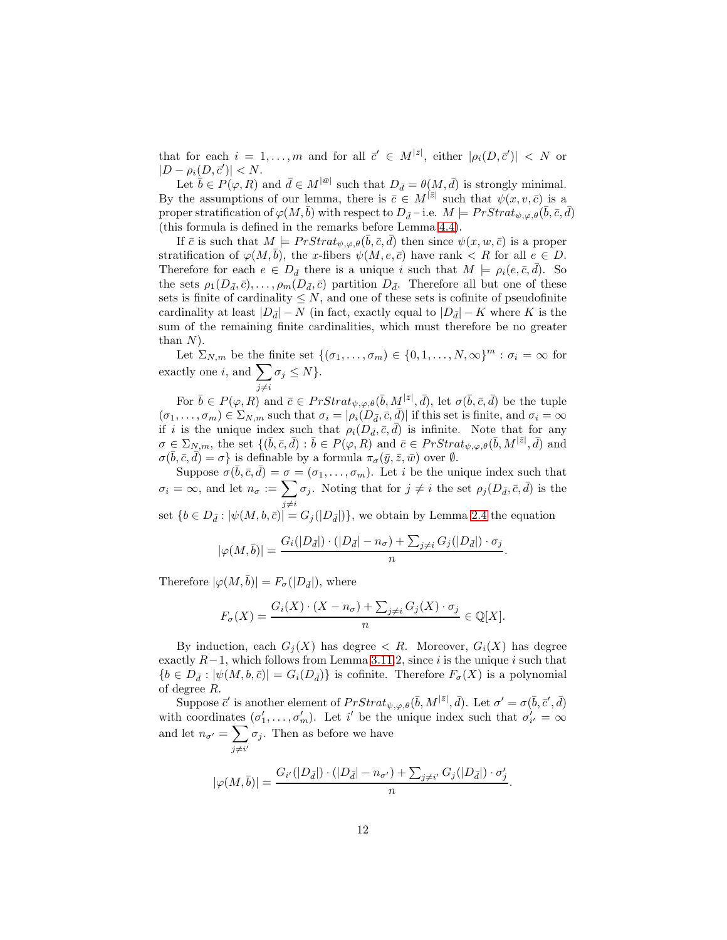that for each  $i = 1, ..., m$  and for all  $\bar{c}' \in M^{|\bar{z}|}$ , either  $|\rho_i(D, \bar{c}')| < N$  or  $|D - \rho_i(D, \vec{c}')| < N.$ 

Let  $\bar{b} \in P(\varphi, R)$  and  $\bar{d} \in M^{|\bar{w}|}$  such that  $D_{\bar{d}} = \theta(M, \bar{d})$  is strongly minimal. By the assumptions of our lemma, there is  $\bar{c} \in M^{|\bar{z}|}$  such that  $\psi(x, v, \bar{c})$  is a proper stratification of  $\varphi(M,\bar{b})$  with respect to  $D_{\bar{d}}$  – i.e.  $M \models PrStrat_{\psi,\varphi,\theta}(\bar{b},\bar{c},\bar{d})$ (this formula is defined in the remarks before Lemma [4.4\)](#page-10-0).

If  $\bar{c}$  is such that  $M \models PrStrat_{\psi,\varphi,\theta}(\bar{b},\bar{c},\bar{d})$  then since  $\psi(x,w,\bar{c})$  is a proper stratification of  $\varphi(M, \bar{b})$ , the x-fibers  $\psi(M, e, \bar{c})$  have rank  $\langle R \rangle$  for all  $e \in D$ . Therefore for each  $e \in D_{\bar{d}}$  there is a unique i such that  $M \models \rho_i(e, \bar{c}, \bar{d})$ . So the sets  $\rho_1(D_{\bar{d}}, \bar{c}), \ldots, \rho_m(D_{\bar{d}}, \bar{c})$  partition  $D_{\bar{d}}$ . Therefore all but one of these sets is finite of cardinality  $\leq N$ , and one of these sets is cofinite of pseudofinite cardinality at least  $|D_{\bar{d}}| - N$  (in fact, exactly equal to  $|D_{\bar{d}}| - K$  where K is the sum of the remaining finite cardinalities, which must therefore be no greater than  $N$ ).

Let  $\Sigma_{N,m}$  be the finite set  $\{(\sigma_1,\ldots,\sigma_m)\in\{0,1,\ldots,N,\infty\}^m : \sigma_i=\infty$  for exactly one *i*, and  $\sum$  $j\neq i$  $\sigma_j \leq N$  }.

For  $\bar{b} \in P(\varphi, R)$  and  $\bar{c} \in PrStrat_{\psi, \varphi, \theta}(\bar{b}, M^{|\bar{z}|}, \bar{d})$ , let  $\sigma(\bar{b}, \bar{c}, \bar{d})$  be the tuple  $(\sigma_1,\ldots,\sigma_m)\in \Sigma_{N,m}$  such that  $\sigma_i = |\rho_i(D_{\bar{d}}, \bar{c}, \bar{d})|$  if this set is finite, and  $\sigma_i = \infty$ if i is the unique index such that  $\rho_i(D_{\bar{d}}, \bar{c}, \bar{d})$  is infinite. Note that for any  $\sigma \in \Sigma_{N,m}$ , the set  $\{(\bar{b}, \bar{c}, \bar{d}) : \bar{b} \in P(\varphi, R) \text{ and } \bar{c} \in PrStrat_{\psi, \varphi, \theta}(\bar{b}, M^{|\bar{z}|}, \bar{d}) \text{ and }$  $\sigma(\bar{b}, \bar{c}, \bar{d}) = \sigma$ } is definable by a formula  $\pi_{\sigma}(\bar{y}, \bar{z}, \bar{w})$  over  $\emptyset$ .

Suppose  $\sigma(\bar{b}, \bar{c}, \bar{d}) = \sigma = (\sigma_1, \ldots, \sigma_m)$ . Let i be the unique index such that  $\sigma_i = \infty$ , and let  $n_{\sigma} := \sum \sigma_j$ . Noting that for  $j \neq i$  the set  $\rho_j(D_{\bar{d}}, \bar{c}, \bar{d})$  is the  $j\neq i$ set  $\{b \in D_{\bar{d}} : |\psi(M, b, \bar{c})| = G_j(|D_{\bar{d}}|)\}\$ , we obtain by Lemma [2.4](#page-3-0) the equation

$$
|\varphi(M,\bar{b})|=\frac{G_{i}(|D_{\bar{d}}|)\cdot(|D_{\bar{d}}|-n_{\sigma})+\sum_{j\neq i}G_{j}(|D_{\bar{d}}|)\cdot\sigma_{j}}{n}.
$$

Therefore  $|\varphi(M,\bar{b})| = F_{\sigma}(|D_{\bar{d}}|)$ , where

$$
F_{\sigma}(X) = \frac{G_i(X) \cdot (X - n_{\sigma}) + \sum_{j \neq i} G_j(X) \cdot \sigma_j}{n} \in \mathbb{Q}[X].
$$

By induction, each  $G_i(X)$  has degree  $\langle R$ . Moreover,  $G_i(X)$  has degree exactly  $R-1$ , which follows from Lemma [3.11.](#page-8-0)2, since i is the unique i such that  ${b \in D_{\bar{d}} : |\psi(M, b, \bar{c})| = G_i(D_{\bar{d}})}$  is cofinite. Therefore  $F_{\sigma}(X)$  is a polynomial of degree R.

Suppose  $\vec{c}'$  is another element of  $PrStrat_{\psi,\varphi,\theta}(\bar{b},M^{|\bar{z}|},\bar{d})$ . Let  $\sigma'=\sigma(\bar{b},\bar{c}',\bar{d})$ with coordinates  $(\sigma'_1, \ldots, \sigma'_m)$ . Let i' be the unique index such that  $\sigma'_{i'} = \infty$ and let  $n_{\sigma'} = \sum$  $\sum_{j\neq i'} \sigma_j$ . Then as before we have

$$
|\varphi(M,\bar{b})| = \frac{G_{i'}(|D_{\bar{d}}|)\cdot (|D_{\bar{d}}| - n_{\sigma'}) + \sum_{j\neq i'} G_j(|D_{\bar{d}}|)\cdot \sigma'_j}{n}.
$$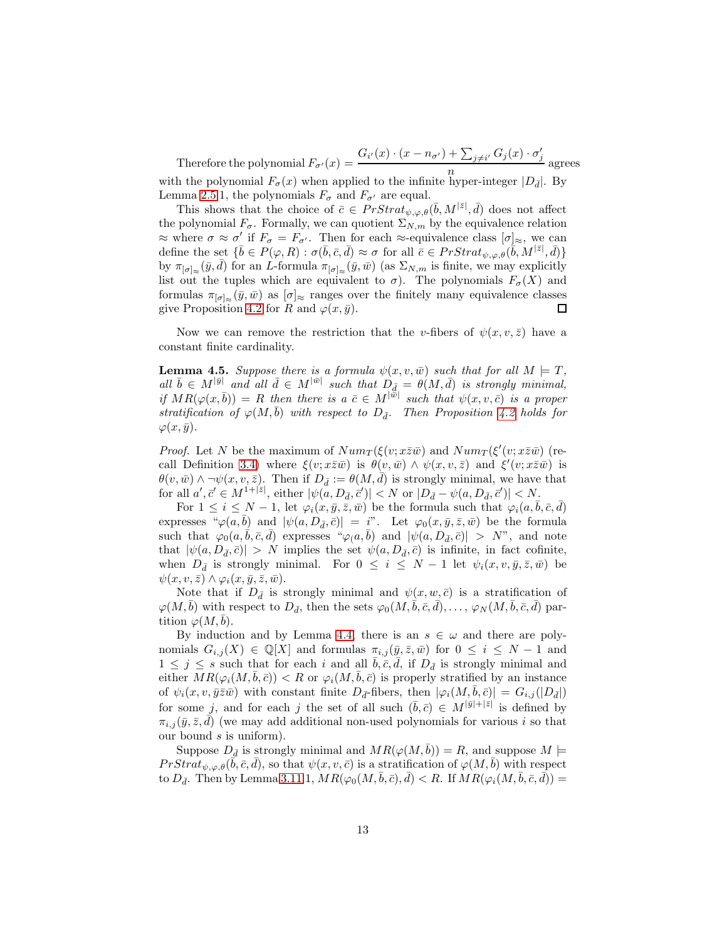Therefore the polynomial  $F_{\sigma'}(x) =$  $G_{i'}(x)\cdot (x-n_{\sigma'})+\sum_{j\neq i'} G_j(x)\cdot \sigma'_j$  $\frac{2j\neq v^2}{n}$  agrees

with the polynomial  $F_{\sigma}(x)$  when applied to the infinite hyper-integer  $|D_{\bar{d}}|$ . By Lemma [2.5.](#page-4-1)1, the polynomials  $F_{\sigma}$  and  $F_{\sigma'}$  are equal.

This shows that the choice of  $\bar{c} \in PrStrat_{\psi,\varphi,\theta}(\bar{b},M^{|\bar{z}|},\bar{d})$  does not affect the polynomial  $F_{\sigma}$ . Formally, we can quotient  $\Sigma_{N,m}$  by the equivalence relation  $\approx$  where  $\sigma \approx \sigma'$  if  $F_{\sigma} = F_{\sigma'}$ . Then for each  $\approx$ -equivalence class  $[\sigma]_{\approx}$ , we can define the set  $\{\bar{b} \in P(\varphi, R) : \sigma(\bar{b}, \bar{c}, \bar{d}) \approx \sigma \text{ for all } \bar{c} \in PrStrat_{\psi, \varphi, \theta}(\bar{b}, M^{|\bar{z}|}, \bar{d})\}$ by  $\pi_{[\sigma]_\infty}(\bar{y}, \bar{d})$  for an L-formula  $\pi_{[\sigma]_\infty}(\bar{y}, \bar{w})$  (as  $\Sigma_{N,m}$  is finite, we may explicitly list out the tuples which are equivalent to  $\sigma$ ). The polynomials  $F_{\sigma}(X)$  and formulas  $\pi_{[\sigma]\approx}(\bar{y}, \bar{w})$  as  $[\sigma]_{\approx}$  ranges over the finitely many equivalence classes give Proposition [4.2](#page-9-1) for R and  $\varphi(x, \bar{y})$ .  $\Box$ 

Now we can remove the restriction that the v-fibers of  $\psi(x, v, \bar{z})$  have a constant finite cardinality.

<span id="page-12-0"></span>**Lemma 4.5.** Suppose there is a formula  $\psi(x, v, \bar{w})$  such that for all  $M \models T$ , all  $\bar{b} \in M^{|\bar{y}|}$  and all  $\bar{d} \in M^{|\bar{w}|}$  such that  $D_{\bar{d}} = \theta(M, \bar{d})$  is strongly minimal, if  $MR(\varphi(x,\bar{b})) = R$  then there is a  $\bar{c} \in M^{|\bar{\bar{w}}|}$  such that  $\psi(x,v,\bar{c})$  is a proper stratification of  $\varphi(M, \bar{b})$  with respect to  $D_{\bar{d}}$ . Then Proposition [4.2](#page-9-1) holds for  $\varphi(x,\bar{y})$ .

*Proof.* Let N be the maximum of  $Num_T(\xi(v; x\overline{z}\overline{w})$  and  $Num_T(\xi'(v; x\overline{z}\overline{w}))$  (re-call Definition [3.4\)](#page-5-1) where  $\xi(v; x\overline{z}\overline{w})$  is  $\theta(v,\overline{w}) \wedge \psi(x,v,\overline{z})$  and  $\xi'(v; x\overline{z}\overline{w})$  is  $\theta(v,\bar{w}) \wedge \neg \psi(x,v,\bar{z})$ . Then if  $D_{\bar{d}} := \theta(M,d)$  is strongly minimal, we have that for all  $a', \bar{c}' \in M^{1+|\bar{z}|}$ , either  $|\psi(a, D_{\bar{d}}, \bar{c}')| < N$  or  $|D_{\bar{d}} - \psi(a, D_{\bar{d}}, \bar{c}')| < N$ .

For  $1 \leq i \leq N-1$ , let  $\varphi_i(x, \bar{y}, \bar{z}, \bar{w})$  be the formula such that  $\varphi_i(a, \bar{b}, \bar{c}, \bar{d})$ expresses " $\varphi(a, \bar{b})$  and  $|\psi(a, D_{\bar{d}}, \bar{c})| = i$ ". Let  $\varphi_0(x, \bar{y}, \bar{z}, \bar{w})$  be the formula such that  $\varphi_0(a, \overline{b}, \overline{c}, \overline{d})$  expresses  $\sqrt[\alpha]{\varphi(a, \overline{b})}$  and  $|\psi(a, D_{\overline{d}}, \overline{c})| > N$ ", and note that  $|\psi(a, D_{\bar{d}}, \bar{c})| > N$  implies the set  $\psi(a, D_{\bar{d}}, \bar{c})$  is infinite, in fact cofinite, when  $D_{\bar{d}}$  is strongly minimal. For  $0 \leq i \leq N-1$  let  $\psi_i(x, v, \bar{y}, \bar{z}, \bar{w})$  be  $\psi(x, v, \bar{z}) \wedge \varphi_i(x, \bar{y}, \bar{z}, \bar{w}).$ 

Note that if  $D_{\bar{d}}$  is strongly minimal and  $\psi(x, w, \bar{c})$  is a stratification of  $\varphi(M, \bar{b})$  with respect to  $D_{\bar{d}}$ , then the sets  $\varphi_0(M, \bar{b}, \bar{c}, \bar{d}), \ldots, \varphi_N(M, \bar{b}, \bar{c}, \bar{d})$  partition  $\varphi(M, b)$ .

By induction and by Lemma [4.4,](#page-10-0) there is an  $s \in \omega$  and there are polynomials  $G_{i,j}(X) \in \mathbb{Q}[X]$  and formulas  $\pi_{i,j}(\bar{y}, \bar{z}, \bar{w})$  for  $0 \leq i \leq N-1$  and  $1 \leq j \leq s$  such that for each i and all  $\bar{b}, \bar{c}, \bar{d},$  if  $D_{\bar{d}}$  is strongly minimal and either  $MR(\varphi_i(M, \bar{b}, \bar{c})) < R$  or  $\varphi_i(M, \bar{b}, \bar{c})$  is properly stratified by an instance of  $\psi_i(x, v, \bar{y}\bar{z}\bar{w})$  with constant finite  $D_{\bar{d}}$ -fibers, then  $|\varphi_i(M, b, \bar{c})| = G_{i,j}(|D_{\bar{d}}|)$ for some j, and for each j the set of all such  $(\bar{b}, \bar{c}) \in M^{|\bar{y}|+|\bar{z}|}$  is defined by  $\pi_{i,j}(\bar{y},\bar{z},\bar{d})$  (we may add additional non-used polynomials for various i so that our bound  $s$  is uniform).

Suppose  $D_{\bar{d}}$  is strongly minimal and  $MR(\varphi(M, \bar{b})) = R$ , and suppose  $M \models$  $PrStrat_{\psi,\varphi,\theta}(\vec{b},\bar{c},\bar{d}),$  so that  $\psi(x,v,\bar{c})$  is a stratification of  $\varphi(M,\bar{b})$  with respect to  $D_{\bar{d}}$ . Then by Lemma [3.11.](#page-8-0)1,  $MR(\varphi_0(M, \bar{b}, \bar{c}), \bar{d}) < R$ . If  $MR(\varphi_i(M, \bar{b}, \bar{c}, \bar{d})) =$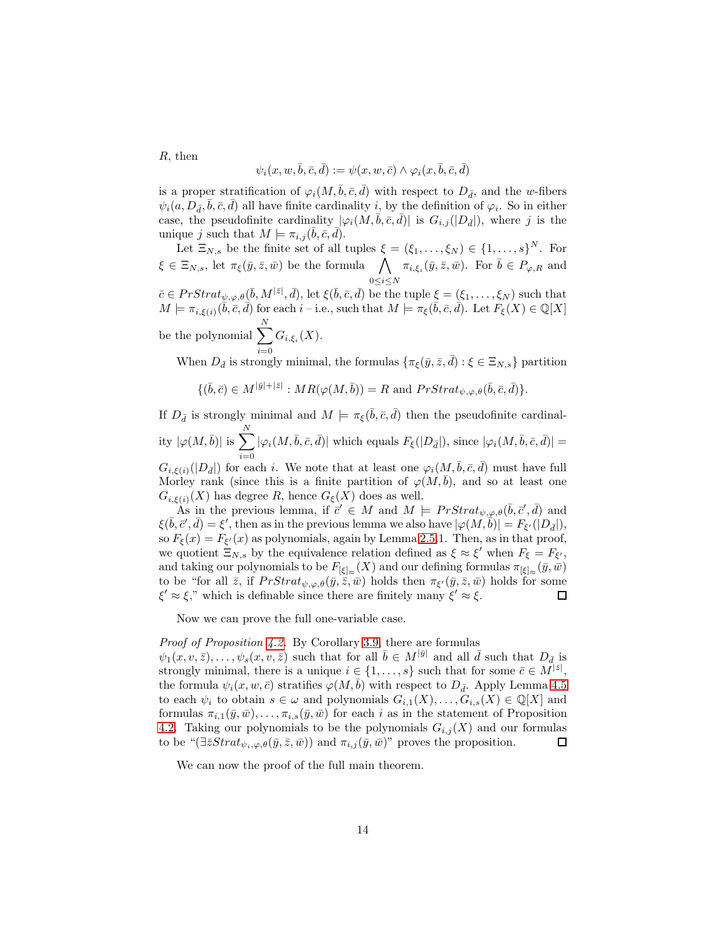R, then

$$
\psi_i(x, w, \bar{b}, \bar{c}, \bar{d}) := \psi(x, w, \bar{c}) \wedge \varphi_i(x, \bar{b}, \bar{c}, \bar{d})
$$

is a proper stratification of  $\varphi_i(M, \bar{b}, \bar{c}, \bar{d})$  with respect to  $D_{\bar{d}}$ , and the w-fibers  $\psi_i(a, D_{\bar{d}}, \bar{b}, \bar{c}, \bar{d})$  all have finite cardinality  $i$ , by the definition of  $\varphi_i$ . So in either case, the pseudofinite cardinality  $|\varphi_i(M, \bar{b}, \bar{c}, \bar{d})|$  is  $G_{i,j}(|D_{\bar{d}}|)$ , where j is the unique j such that  $M \models \pi_{i,j}(\bar{b}, \bar{c}, \bar{d}).$ 

Let  $\Xi_{N,s}$  be the finite set of all tuples  $\xi = (\xi_1, \ldots, \xi_N) \in \{1, \ldots, s\}^N$ . For  $\xi \in \Xi_{N,s}$ , let  $\pi_{\xi}(\bar{y}, \bar{z}, \bar{w})$  be the formula  $\bigwedge$  $0 \leq i \leq N$  $\pi_{i,\xi_i}(\bar{y}, \bar{z}, \bar{w})$ . For  $\bar{b} \in P_{\varphi,R}$  and

 $\bar{c} \in PrStrat_{\psi,\varphi,\theta}(\bar{b},M^{|\bar{z}|},\bar{d}), \text{ let } \xi(\bar{b},\bar{c},\bar{d}) \text{ be the tuple } \xi = (\xi_1,\ldots,\xi_N) \text{ such that }$  $M \models \pi_{i,\xi(i)}(\overline{b}, \overline{c}, \overline{d})$  for each  $i$  – i.e., such that  $M \models \pi_{\xi}(\overline{b}, \overline{c}, \overline{d})$ . Let  $F_{\xi}(X) \in \mathbb{Q}[X]$ be the polynomial  $\sum$ N

 $i=0$  $G_{i,\xi_i}(X)$ .

When  $D_{\bar{d}}$  is strongly minimal, the formulas  $\{\pi_{\xi}(\bar{y}, \bar{z}, \bar{d}) : \xi \in \Xi_{N,s}\}$  partition

$$
\{(\bar{b},\bar{c})\in M^{|\bar{y}|+|\bar{z}|}: MR(\varphi(M,\bar{b}))=R \text{ and } PrStrat_{\psi,\varphi,\theta}(\bar{b},\bar{c},\bar{d})\}.
$$

If  $D_{\bar{d}}$  is strongly minimal and  $M \models \pi_{\xi}(\bar{b}, \bar{c}, \bar{d})$  then the pseudofinite cardinality  $|\varphi(M,\bar{b})|$  is  $\sum_{n=1}^{N}$  $i=0$  $|\varphi_i(M,\bar{b},\bar{c},\bar{d})|$  which equals  $F_\xi(|D_{\bar{d}}|),$  since  $|\varphi_i(M,\bar{b},\bar{c},\bar{d})|$  =

 $G_{i,\xi(i)}(|D_{\bar{d}}|)$  for each i. We note that at least one  $\varphi_i(M, \bar{b}, \bar{c}, \bar{d})$  must have full Morley rank (since this is a finite partition of  $\varphi(M, b)$ , and so at least one  $G_{i,\xi(i)}(X)$  has degree R, hence  $G_{\xi}(X)$  does as well.

As in the previous lemma, if  $\vec{c}' \in M$  and  $M \models PrStrat_{\psi,\varphi,\theta}(\bar{b},\bar{c}',\bar{d})$  and  $\xi(\bar{b}, \bar{c}', \bar{d}) = \xi',$  then as in the previous lemma we also have  $|\varphi(M, \bar{b})| = F_{\xi'}(|D_{\bar{d}}|),$ so  $F_{\xi}(x) = F_{\xi}(x)$  as polynomials, again by Lemma [2.5.](#page-4-1)1. Then, as in that proof, we quotient  $\Xi_{N,s}$  by the equivalence relation defined as  $\xi \approx \xi'$  when  $F_{\xi} = F_{\xi'}$ , and taking our polynomials to be  $F_{[\xi]_\infty}(X)$  and our defining formulas  $\pi_{[\xi]_\infty}(\bar{y}, \bar{w})$ to be "for all  $\bar{z}$ , if  $PrStrat_{\psi,\varphi,\theta}(\bar{y},\bar{z},\bar{w})$  holds then  $\pi_{\xi'}(\bar{y},\bar{z},\bar{w})$  holds for some  $\xi' \approx \xi$ ," which is definable since there are finitely many  $\xi' \approx \xi$ . 口

Now we can prove the full one-variable case.

Proof of Proposition [4.2.](#page-9-1) By Corollary [3.9,](#page-7-2) there are formulas

 $\psi_1(x, v, \bar{z}), \ldots, \psi_s(x, v, \bar{z})$  such that for all  $\bar{b} \in M^{|\bar{y}|}$  and all  $\bar{d}$  such that  $D_{\bar{d}, \bar{d}}$ strongly minimal, there is a unique  $i \in \{1, \ldots, s\}$  such that for some  $\bar{c} \in M^{|\bar{z}|}$ , the formula  $\psi_i(x, w, \bar{c})$  stratifies  $\varphi(M, b)$  with respect to  $D_{\bar{d}}$ . Apply Lemma [4.5](#page-12-0) to each  $\psi_i$  to obtain  $s \in \omega$  and polynomials  $G_{i,1}(X), \ldots, G_{i,s}(X) \in \mathbb{Q}[X]$  and formulas  $\pi_{i,1}(\bar{y},\bar{w}), \ldots, \pi_{i,s}(\bar{y},\bar{w})$  for each i as in the statement of Proposition [4.2.](#page-9-1) Taking our polynomials to be the polynomials  $G_{i,j}(X)$  and our formulas to be " $(\exists \bar{z}Strat_{\psi_i,\varphi,\theta}(\bar{y},\bar{z},\bar{w}))$  and  $\pi_{i,j}(\bar{y},\bar{w})$ " proves the proposition. 口

We can now the proof of the full main theorem.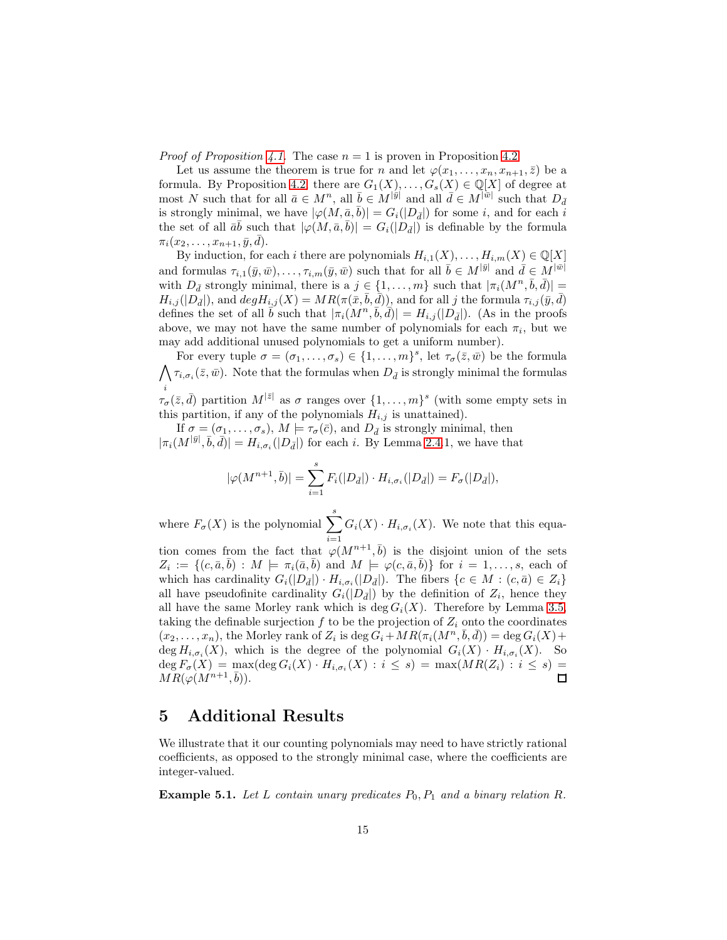*Proof of Proposition [4.1.](#page-9-0)* The case  $n = 1$  is proven in Proposition [4.2.](#page-9-1)

Let us assume the theorem is true for n and let  $\varphi(x_1, \ldots, x_n, x_{n+1}, \bar{z})$  be a formula. By Proposition [4.2,](#page-9-1) there are  $G_1(X), \ldots, G_s(X) \in \mathbb{Q}[X]$  of degree at most N such that for all  $\bar{a} \in M^n$ , all  $\bar{b} \in M^{|\bar{y}|}$  and all  $\bar{d} \in M^{|\bar{w}|}$  such that  $D_{\bar{d}}$ is strongly minimal, we have  $|\varphi(M, \underline{\bar{a}}, \overline{b})| = G_i(|D_{\bar{d}}|)$  for some *i*, and for each *i* the set of all  $\bar{a}\bar{b}$  such that  $|\varphi(M,\bar{a},\bar{b})| = G_i(|D_{\bar{d}}|)$  is definable by the formula  $\pi_i(x_2,\ldots,x_{n+1},\bar{y},\bar{d}).$ 

By induction, for each i there are polynomials  $H_{i,1}(X), \ldots, H_{i,m}(X) \in \mathbb{Q}[X]$ and formulas  $\tau_{i,1}(\bar{y}, \bar{w}), \ldots, \tau_{i,m}(\bar{y}, \bar{w})$  such that for all  $\bar{b} \in M^{|\bar{y}|}$  and  $\bar{d} \in M^{|\bar{w}|}$ with  $D_{\bar{d}}$  strongly minimal, there is a  $j \in \{1, \ldots, m\}$  such that  $|\pi_i(M^n, \bar{b}, \bar{d})|$  $H_{i,j}(|D_{\bar{d}}|)$ , and  $deg H_{i,j}(X) = MR(\pi(\bar{x}, \bar{b}, \bar{d}))$ , and for all j the formula  $\tau_{i,j}(\bar{y}, \bar{d})$ defines the set of all  $\vec{b}$  such that  $|\pi_i(M^n, \vec{b}, \vec{d})| = H_{i,j}(|D_{\vec{d}}|)$ . (As in the proofs above, we may not have the same number of polynomials for each  $\pi_i$ , but we may add additional unused polynomials to get a uniform number).

For every tuple  $\sigma = (\sigma_1, \ldots, \sigma_s) \in \{1, \ldots, m\}^s$ , let  $\tau_{\sigma}(\bar{z}, \bar{w})$  be the formula  $\bigwedge \tau_{i,\sigma_i}(\bar{z},\bar{w})$ . Note that the formulas when  $D_{\bar{d}}$  is strongly minimal the formulas i  $\tau_{\sigma}(\bar{z}, \bar{d})$  partition  $M^{|\bar{z}|}$  as  $\sigma$  ranges over  $\{1, \ldots, m\}^s$  (with some empty sets in

this partition, if any of the polynomials  $H_{i,j}$  is unattained). If  $\sigma = (\sigma_1, \ldots, \sigma_s)$ ,  $M \models \tau_\sigma(\bar{c})$ , and  $D_{\bar{d}}$  is strongly minimal, then  $|\pi_i(M^{|\bar{y}|}, \bar{b}, \bar{d})| = H_{i, \sigma_i}(|D_{\bar{d}}|)$  for each i. By Lemma [2.4.](#page-3-0)1, we have that

$$
|\varphi(M^{n+1},\overline{b})| = \sum_{i=1}^{s} F_i(|D_{\overline{d}}|) \cdot H_{i,\sigma_i}(|D_{\overline{d}}|) = F_{\sigma}(|D_{\overline{d}}|),
$$

where  $F_{\sigma}(X)$  is the polynomial  $\sum_{s=1}^{s}$  $i=1$  $G_i(X) \cdot H_{i, \sigma_i}(X)$ . We note that this equa-

tion comes from the fact that  $\varphi(M^{n+1}, \bar{b})$  is the disjoint union of the sets  $Z_i := \{(c, \bar{a}, \bar{b}) : M \models \pi_i(\bar{a}, \bar{b}) \text{ and } M \models \varphi(c, \bar{a}, \bar{b})\}$  for  $i = 1, \ldots, s$ , each of which has cardinality  $G_i(|D_{\bar{d}}|) \cdot H_{i,\sigma_i}(|D_{\bar{d}}|)$ . The fibers  $\{c \in M : (c, \bar{a}) \in Z_i\}$ all have pseudofinite cardinality  $G_i(|D_{\bar{d}}|)$  by the definition of  $Z_i$ , hence they all have the same Morley rank which is deg  $G_i(X)$ . Therefore by Lemma [3.5,](#page-5-2) taking the definable surjection f to be the projection of  $Z_i$  onto the coordinates  $(x_2,...,x_n)$ , the Morley rank of  $Z_i$  is  $\deg G_i + MR(\pi_i(M^n, \bar{b}, \bar{d})) = \deg G_i(X) +$  $\deg H_{i,\sigma_i}(X)$ , which is the degree of the polynomial  $G_i(X) \cdot H_{i,\sigma_i}(X)$ . So  $\deg F_{\sigma}(X) = \max(\deg G_i(X) \cdot H_{i,\sigma_i}(X) : i \leq s) = \max(MR(Z_i) : i \leq s) =$  $MR(\varphi(M^{n+1},\overline{b})).$  $\square$ 

## 5 Additional Results

We illustrate that it our counting polynomials may need to have strictly rational coefficients, as opposed to the strongly minimal case, where the coefficients are integer-valued.

<span id="page-14-0"></span>**Example 5.1.** Let L contain unary predicates  $P_0$ ,  $P_1$  and a binary relation R.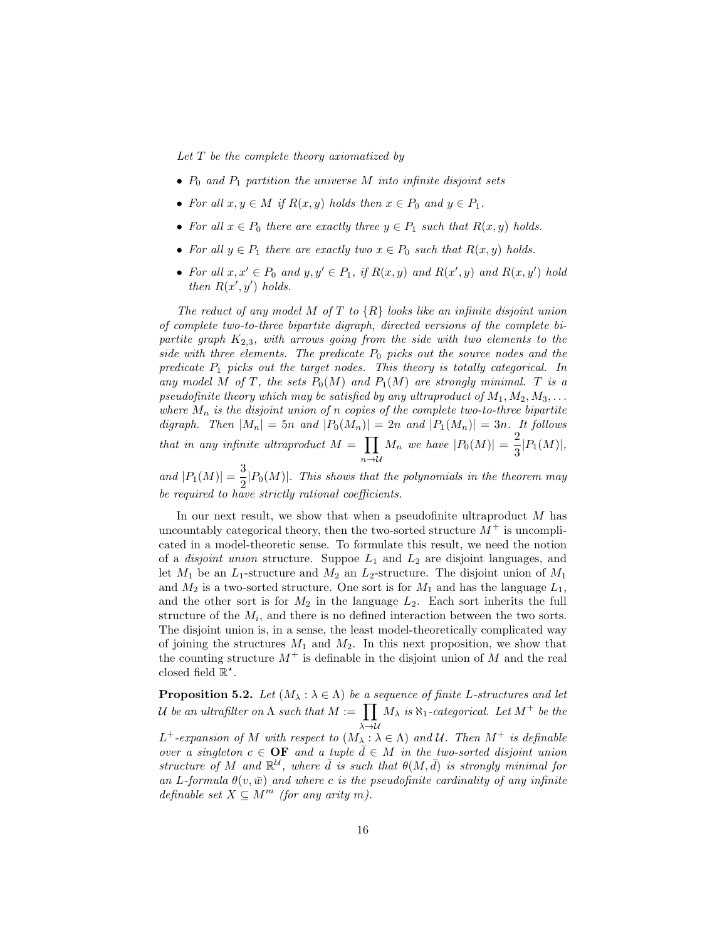Let  $T$  be the complete theory axiomatized by

- $P_0$  and  $P_1$  partition the universe M into infinite disjoint sets
- For all  $x, y \in M$  if  $R(x, y)$  holds then  $x \in P_0$  and  $y \in P_1$ .
- For all  $x \in P_0$  there are exactly three  $y \in P_1$  such that  $R(x, y)$  holds.
- For all  $y \in P_1$  there are exactly two  $x \in P_0$  such that  $R(x, y)$  holds.
- For all  $x, x' \in P_0$  and  $y, y' \in P_1$ , if  $R(x, y)$  and  $R(x', y)$  and  $R(x, y')$  hold then  $R(x', y')$  holds.

The reduct of any model M of T to  $\{R\}$  looks like an infinite disjoint union of complete two-to-three bipartite digraph, directed versions of the complete bipartite graph  $K_{2,3}$ , with arrows going from the side with two elements to the side with three elements. The predicate  $P_0$  picks out the source nodes and the predicate  $P_1$  picks out the target nodes. This theory is totally categorical. In any model M of T, the sets  $P_0(M)$  and  $P_1(M)$  are strongly minimal. T is a pseudofinite theory which may be satisfied by any ultraproduct of  $M_1, M_2, M_3, \ldots$ where  $M_n$  is the disjoint union of n copies of the complete two-to-three bipartite digraph. Then  $|M_n| = 5n$  and  $|P_0(M_n)| = 2n$  and  $|P_1(M_n)| = 3n$ . It follows that in any infinite ultraproduct  $M = \prod$  $n\rightarrow\mathcal{U}$  $M_n$  we have  $|P_0(M)| = \frac{2}{3}$  $\frac{2}{3}|P_1(M)|,$ 

and  $|P_1(M)| = \frac{3}{2}$  $\frac{2}{2}$  $\vert P_0(M) \vert$ . This shows that the polynomials in the theorem may be required to have strictly rational coefficients.

In our next result, we show that when a pseudofinite ultraproduct  $M$  has uncountably categorical theory, then the two-sorted structure  $M^+$  is uncomplicated in a model-theoretic sense. To formulate this result, we need the notion of a *disjoint union* structure. Suppoe  $L_1$  and  $L_2$  are disjoint languages, and let  $M_1$  be an  $L_1$ -structure and  $M_2$  an  $L_2$ -structure. The disjoint union of  $M_1$ and  $M_2$  is a two-sorted structure. One sort is for  $M_1$  and has the language  $L_1$ , and the other sort is for  $M_2$  in the language  $L_2$ . Each sort inherits the full structure of the  $M_i$ , and there is no defined interaction between the two sorts. The disjoint union is, in a sense, the least model-theoretically complicated way of joining the structures  $M_1$  and  $M_2$ . In this next proposition, we show that the counting structure  $M^+$  is definable in the disjoint union of M and the real closed field  $\mathbb{R}^*$ .

<span id="page-15-0"></span>**Proposition 5.2.** Let  $(M_\lambda : \lambda \in \Lambda)$  be a sequence of finite L-structures and let U be an ultrafilter on  $\Lambda$  such that  $M := \prod$  $\lambda \rightarrow u$  $M_{\lambda}$  is  $\aleph_1$ -categorical. Let  $M^+$  be the  $L^+$ -expansion of M with respect to  $(M_\lambda : \lambda \in \Lambda)$  and U. Then  $M^+$  is definable

over a singleton  $c \in \mathbf{OF}$  and a tuple  $d \in M$  in the two-sorted disjoint union structure of M and  $\mathbb{R}^{\mathcal{U}}$ , where  $\bar{d}$  is such that  $\theta(M, \bar{d})$  is strongly minimal for an L-formula  $\theta(v,\bar{w})$  and where c is the pseudofinite cardinality of any infinite definable set  $X \subseteq M^m$  (for any arity m).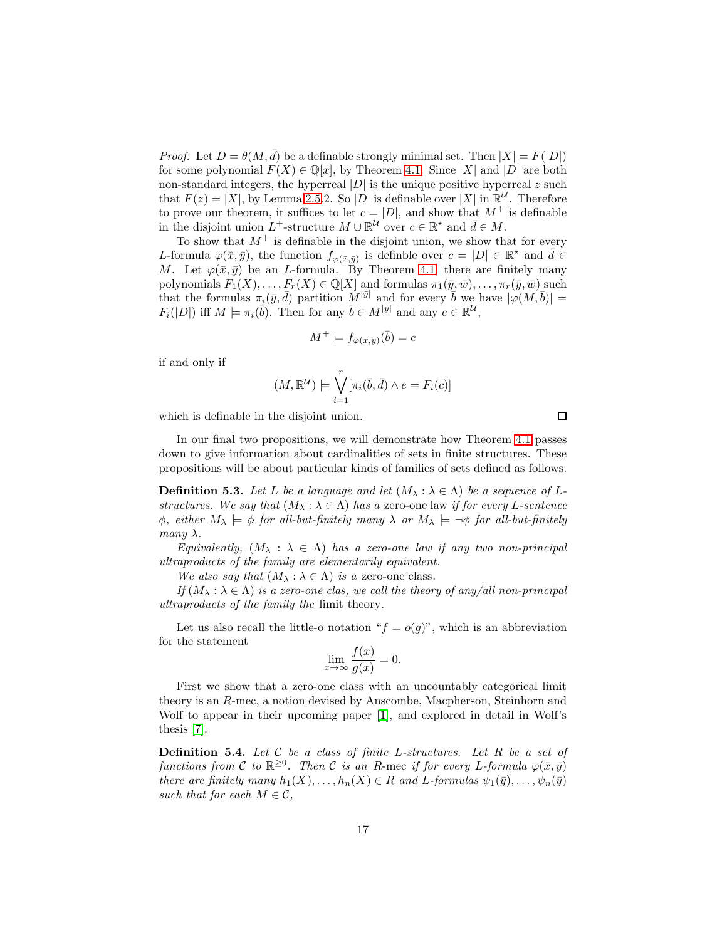*Proof.* Let  $D = \theta(M, \bar{d})$  be a definable strongly minimal set. Then  $|X| = F(|D|)$ for some polynomial  $F(X) \in \mathbb{Q}[x]$ , by Theorem [4.1.](#page-9-0) Since  $|X|$  and  $|D|$  are both non-standard integers, the hyperreal  $|D|$  is the unique positive hyperreal z such that  $F(z) = |X|$ , by Lemma [2.5.](#page-4-1)2. So |D| is definable over |X| in  $\mathbb{R}^{\mathcal{U}}$ . Therefore to prove our theorem, it suffices to let  $c = |D|$ , and show that  $M^+$  is definable in the disjoint union  $L^+$ -structure  $M \cup \mathbb{R}^{\mathcal{U}}$  over  $c \in \mathbb{R}^*$  and  $\bar{d} \in M$ .

To show that  $M^+$  is definable in the disjoint union, we show that for every L-formula  $\varphi(\bar{x}, \bar{y})$ , the function  $f_{\varphi(\bar{x}, \bar{y})}$  is definble over  $c = |D| \in \mathbb{R}^*$  and  $\bar{d} \in$ M. Let  $\varphi(\bar{x}, \bar{y})$  be an L-formula. By Theorem [4.1,](#page-9-0) there are finitely many polynomials  $F_1(X), \ldots, F_r(X) \in \mathbb{Q}[X]$  and formulas  $\pi_1(\bar{y}, \bar{w}), \ldots, \pi_r(\bar{y}, \bar{w})$  such that the formulas  $\pi_i(\bar{y}, \bar{d})$  partition  $M^{|\bar{y}|}$  and for every  $\bar{b}$  we have  $|\varphi(M, \bar{b})|$  =  $F_i(|D|)$  iff  $M \models \pi_i(\bar{b})$ . Then for any  $\bar{b} \in M^{|\bar{y}|}$  and any  $e \in \mathbb{R}^{\mathcal{U}},$ 

$$
M^+ \models f_{\varphi(\bar{x}, \bar{y})}(\bar{b}) = e
$$

if and only if

$$
(M, \mathbb{R}^{\mathcal{U}}) \models \bigvee_{i=1}^{r} [\pi_i(\bar{b}, \bar{d}) \land e = F_i(c)]
$$

which is definable in the disjoint union.

In our final two propositions, we will demonstrate how Theorem [4.1](#page-9-0) passes down to give information about cardinalities of sets in finite structures. These propositions will be about particular kinds of families of sets defined as follows.

**Definition 5.3.** Let L be a language and let  $(M_\lambda : \lambda \in \Lambda)$  be a sequence of Lstructures. We say that  $(M_\lambda : \lambda \in \Lambda)$  has a zero-one law if for every L-sentence  $\phi$ , either  $M_{\lambda} \models \phi$  for all-but-finitely many  $\lambda$  or  $M_{\lambda} \models \neg \phi$  for all-but-finitely many  $\lambda$ .

Equivalently,  $(M_\lambda : \lambda \in \Lambda)$  has a zero-one law if any two non-principal ultraproducts of the family are elementarily equivalent.

We also say that  $(M_\lambda : \lambda \in \Lambda)$  is a zero-one class.

If  $(M_\lambda : \lambda \in \Lambda)$  is a zero-one clas, we call the theory of any/all non-principal ultraproducts of the family the limit theory.

Let us also recall the little-o notation " $f = o(g)$ ", which is an abbreviation for the statement

$$
\lim_{x \to \infty} \frac{f(x)}{g(x)} = 0.
$$

First we show that a zero-one class with an uncountably categorical limit theory is an R-mec, a notion devised by Anscombe, Macpherson, Steinhorn and Wolf to appear in their upcoming paper [\[1\]](#page-21-1), and explored in detail in Wolf's thesis [\[7\]](#page-22-2).

**Definition 5.4.** Let  $C$  be a class of finite L-structures. Let  $R$  be a set of functions from C to  $\mathbb{R}^{\geq 0}$ . Then C is an R-mec if for every L-formula  $\varphi(\bar{x}, \bar{y})$ there are finitely many  $h_1(X), \ldots, h_n(X) \in R$  and L-formulas  $\psi_1(\bar{y}), \ldots, \psi_n(\bar{y})$ such that for each  $M \in \mathcal{C}$ ,

 $f(x)$ 

 $\Box$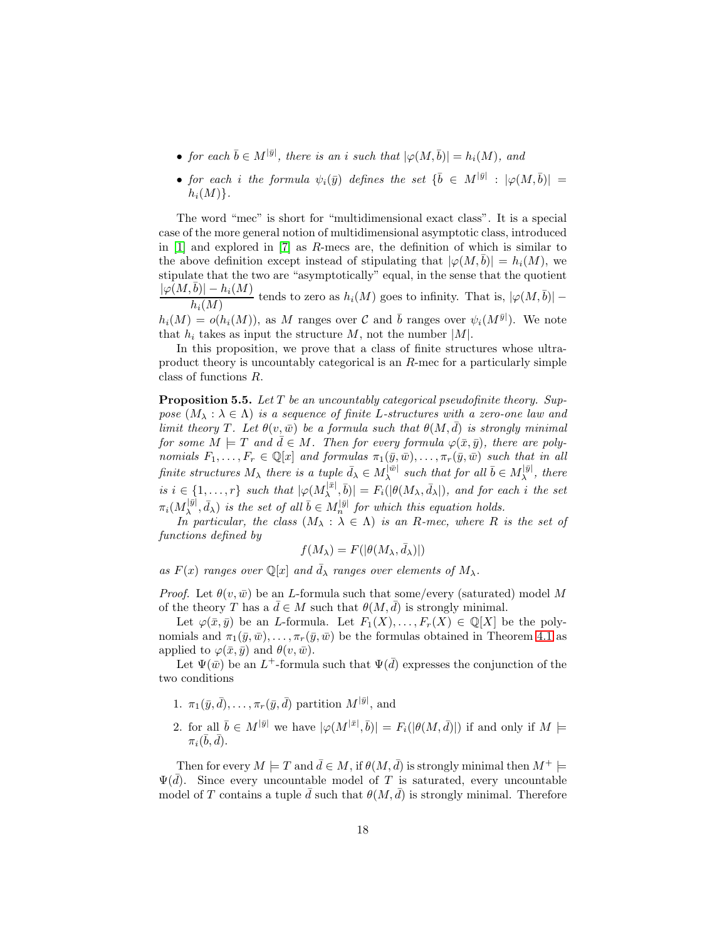- for each  $\bar{b} \in M^{|\bar{y}|}$ , there is an i such that  $|\varphi(M, \bar{b})| = h_i(M)$ , and
- for each i the formula  $\psi_i(\bar{y})$  defines the set  $\{\bar{b} \in M^{|\bar{y}|} : |\varphi(M, \bar{b})| =$  $h_i(M)$ .

The word "mec" is short for "multidimensional exact class". It is a special case of the more general notion of multidimensional asymptotic class, introduced in [\[1\]](#page-21-1) and explored in [\[7\]](#page-22-2) as R-mecs are, the definition of which is similar to the above definition except instead of stipulating that  $|\varphi(M, b)| = h_i(M)$ , we stipulate that the two are "asymptotically" equal, in the sense that the quotient  $|\varphi(M,\bar{b})| - h_i(M)$  $\frac{b|h-h_i(M)}{h_i(M)}$  tends to zero as  $h_i(M)$  goes to infinity. That is,  $|\varphi(M,\bar{b})|$  –

 $h_i(M) = o(h_i(M))$ , as M ranges over C and  $\bar{b}$  ranges over  $\psi_i(M^{\bar{y}})$ . We note that  $h_i$  takes as input the structure M, not the number  $|M|$ .

In this proposition, we prove that a class of finite structures whose ultraproduct theory is uncountably categorical is an R-mec for a particularly simple class of functions R.

<span id="page-17-0"></span>**Proposition 5.5.** Let  $T$  be an uncountably categorical pseudofinite theory. Suppose  $(M_\lambda : \lambda \in \Lambda)$  is a sequence of finite L-structures with a zero-one law and limit theory T. Let  $\theta(v,\bar{w})$  be a formula such that  $\theta(M,\bar{d})$  is strongly minimal for some  $M \models T$  and  $\bar{d} \in M$ . Then for every formula  $\varphi(\bar{x}, \bar{y})$ , there are polynomials  $F_1, \ldots, F_r \in \mathbb{Q}[x]$  and formulas  $\pi_1(\bar{y}, \bar{w}), \ldots, \pi_r(\bar{y}, \bar{w})$  such that in all finite structures  $M_{\lambda}$  there is a tuple  $\bar{d}_{\lambda} \in M_{\lambda}^{|\bar{w}|}$  $\lambda^{|\bar{w}|}$  such that for all  $\bar{b} \in M_{\lambda}^{|\bar{y}|}$  $\lambda^{[y]}$ , there is  $i \in \{1, \ldots, r\}$  such that  $|\varphi(M_{\lambda}^{|\bar{x}|})|$  $|\bar{x}|, |\bar{b}| = F_i(|\theta(M_\lambda, \bar{d}_\lambda|),$  and for each i the set  $\pi_i(M_{\lambda}^{|\bar{y}|}$  $\lambda^{|\bar{y}|}, \bar{d}_{\lambda}$  is the set of all  $\bar{b} \in M_n^{|\bar{y}|}$  for which this equation holds.

In particular, the class  $(M_\lambda : \lambda \in \Lambda)$  is an R-mec, where R is the set of functions defined by

$$
f(M_{\lambda}) = F(|\theta(M_{\lambda}, \bar{d}_{\lambda})|)
$$

as  $F(x)$  ranges over  $\mathbb{Q}[x]$  and  $\bar{d}_{\lambda}$  ranges over elements of  $M_{\lambda}$ .

*Proof.* Let  $\theta(v, \bar{w})$  be an *L*-formula such that some/every (saturated) model M of the theory T has a  $\bar{d} \in M$  such that  $\theta(M, \bar{d})$  is strongly minimal.

Let  $\varphi(\bar{x}, \bar{y})$  be an *L*-formula. Let  $F_1(X), \ldots, F_r(X) \in \mathbb{Q}[X]$  be the polynomials and  $\pi_1(\bar{y}, \bar{w}), \ldots, \pi_r(\bar{y}, \bar{w})$  be the formulas obtained in Theorem [4.1](#page-9-0) as applied to  $\varphi(\bar{x}, \bar{y})$  and  $\theta(v, \bar{w})$ .

Let  $\Psi(\bar{w})$  be an  $L^+$ -formula such that  $\Psi(\bar{d})$  expresses the conjunction of the two conditions

- 1.  $\pi_1(\bar{y}, \bar{d}), \ldots, \pi_r(\bar{y}, \bar{d})$  partition  $M^{|\bar{y}|}$ , and
- 2. for all  $\bar{b} \in M^{|\bar{y}|}$  we have  $|\varphi(M^{|\bar{x}|}, \bar{b})| = F_i(|\theta(M, \bar{d})|)$  if and only if  $M \models$  $\pi_i(\bar b, \bar d).$

Then for every  $M \models T$  and  $\bar{d} \in M$ , if  $\theta(M, \bar{d})$  is strongly minimal then  $M^+ \models$  $\Psi(d)$ . Since every uncountable model of T is saturated, every uncountable model of T contains a tuple  $\bar{d}$  such that  $\theta(M, \bar{d})$  is strongly minimal. Therefore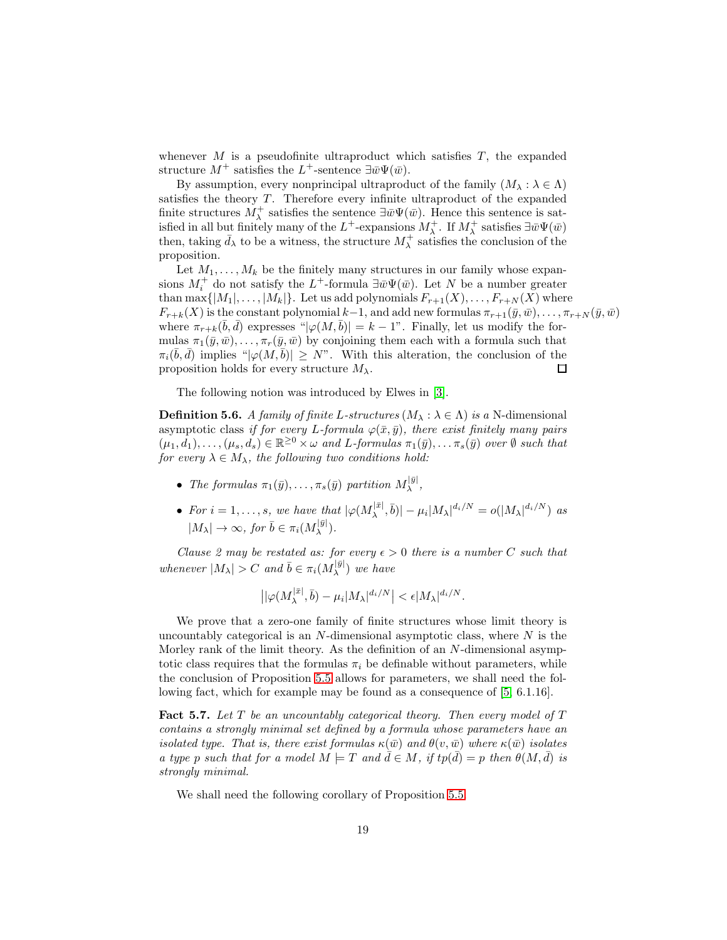whenever  $M$  is a pseudofinite ultraproduct which satisfies  $T$ , the expanded structure  $M^+$  satisfies the L<sup>+</sup>-sentence  $\exists \bar{w}\Psi(\bar{w})$ .

By assumption, every nonprincipal ultraproduct of the family  $(M_\lambda : \lambda \in \Lambda)$ satisfies the theory  $T$ . Therefore every infinite ultraproduct of the expanded finite structures  $M^{\pm}_{\lambda}$  satisfies the sentence  $\exists \bar{w}\Psi(\bar{w})$ . Hence this sentence is satisfied in all but finitely many of the  $L^+$ -expansions  $M^+_\lambda$ . If  $M^+_\lambda$  satisfies  $\exists \bar{w} \Psi(\bar{w})$ then, taking  $\bar{d}_{\lambda}$  to be a witness, the structure  $M_{\lambda}^{+}$  satisfies the conclusion of the proposition.

Let  $M_1, \ldots, M_k$  be the finitely many structures in our family whose expansions  $M_i^+$  do not satisfy the  $L^+$ -formula  $\exists \bar{w}\Psi(\bar{w})$ . Let N be a number greater than max $\{|M_1|, \ldots, |M_k|\}$ . Let us add polynomials  $F_{r+1}(X), \ldots, F_{r+N}(X)$  where  $F_{r+k}(X)$  is the constant polynomial  $k-1$ , and add new formulas  $\pi_{r+1}(\bar{y}, \bar{w}), \ldots, \pi_{r+N}(\bar{y}, \bar{w})$ where  $\pi_{r+k}(\bar{b}, \bar{d})$  expresses " $|\varphi(M, \bar{b})| = k - 1$ ". Finally, let us modify the formulas  $\pi_1(\bar{y}, \bar{w}), \ldots, \pi_r(\bar{y}, \bar{w})$  by conjoining them each with a formula such that  $\pi_i(\bar{b}, \bar{d})$  implies " $|\varphi(M, \bar{b})| \geq N$ ". With this alteration, the conclusion of the proposition holds for every structure  $M_{\lambda}$ .  $\Box$ 

The following notion was introduced by Elwes in [\[3\]](#page-22-3).

<span id="page-18-1"></span>**Definition 5.6.** A family of finite L-structures  $(M_\lambda : \lambda \in \Lambda)$  is a N-dimensional asymptotic class if for every L-formula  $\varphi(\bar{x}, \bar{y})$ , there exist finitely many pairs  $(\mu_1, d_1), \ldots, (\mu_s, d_s) \in \mathbb{R}^{\geq 0} \times \omega$  and L-formulas  $\pi_1(\bar{y}), \ldots, \pi_s(\bar{y})$  over  $\emptyset$  such that for every  $\lambda \in M_{\lambda}$ , the following two conditions hold:

- The formulas  $\pi_1(\bar{y}), \ldots, \pi_s(\bar{y})$  partition  $M_\lambda^{|\bar{y}|}$  $\lambda^{|y|}$
- For  $i = 1, \ldots, s$ , we have that  $|\varphi(M_{\lambda}^{|\bar{x}|})|$  $|\bar{x}|, |\bar{b}| - \mu_i |M_\lambda|^{d_i/N} = o(|M_\lambda|^{d_i/N})$  as  $|M_\lambda|\to\infty$ , for  $\bar b\in\pi_i(M_\lambda^{|\bar y|})$  $_{\lambda}^{\scriptscriptstyle +|y|}$ ).

Clause 2 may be restated as: for every  $\epsilon > 0$  there is a number C such that whenever  $|M_{\lambda}| > C$  and  $\bar{b} \in \pi_i(M_{\lambda}^{|\bar{y}|})$  $\lambda^{|\mathcal{Y}|}$ ) we have

$$
\left| |\varphi(M_\lambda^{|\bar{x}|}, \bar{b}) - \mu_i |M_\lambda|^{d_i/N} \right| < \epsilon |M_\lambda|^{d_i/N}.
$$

We prove that a zero-one family of finite structures whose limit theory is uncountably categorical is an  $N$ -dimensional asymptotic class, where  $N$  is the Morley rank of the limit theory. As the definition of an N-dimensional asymptotic class requires that the formulas  $\pi_i$  be definable without parameters, while the conclusion of Proposition [5.5](#page-17-0) allows for parameters, we shall need the following fact, which for example may be found as a consequence of [\[5,](#page-22-6) 6.1.16].

<span id="page-18-0"></span>**Fact 5.7.** Let  $T$  be an uncountably categorical theory. Then every model of  $T$ contains a strongly minimal set defined by a formula whose parameters have an isolated type. That is, there exist formulas  $\kappa(\bar{w})$  and  $\theta(v,\bar{w})$  where  $\kappa(\bar{w})$  isolates a type p such that for a model  $M \models T$  and  $\overline{d} \in M$ , if  $tp(\overline{d}) = p$  then  $\theta(M, \overline{d})$  is strongly minimal.

We shall need the following corollary of Proposition [5.5.](#page-17-0)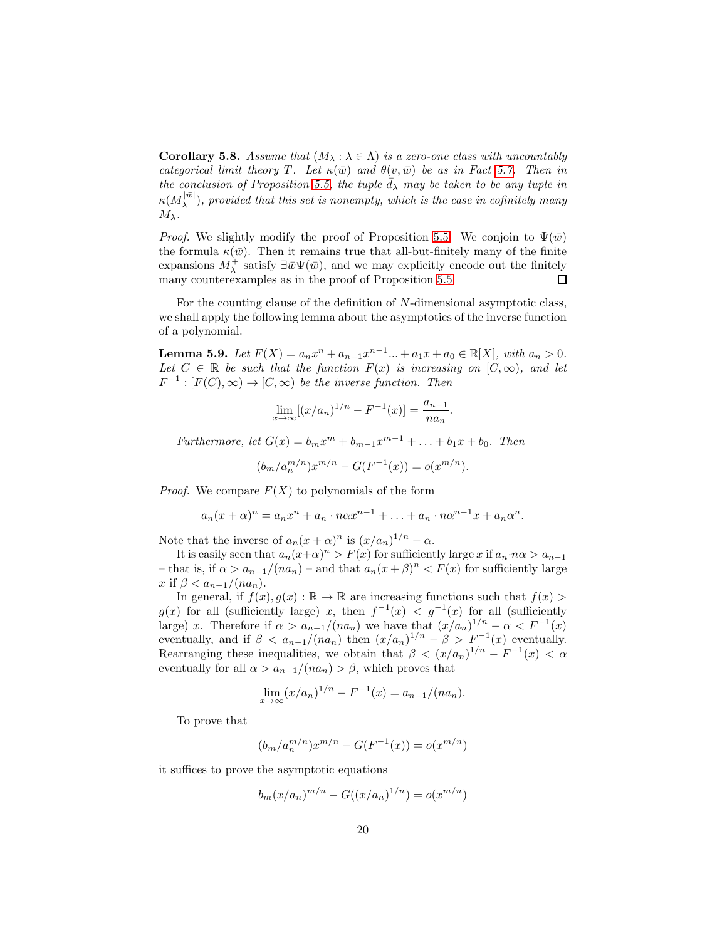<span id="page-19-0"></span>**Corollary 5.8.** Assume that  $(M_\lambda : \lambda \in \Lambda)$  is a zero-one class with uncountably categorical limit theory T. Let  $\kappa(\bar{w})$  and  $\theta(v,\bar{w})$  be as in Fact [5.7.](#page-18-0) Then in the conclusion of Proposition [5.5,](#page-17-0) the tuple  $d<sub>\lambda</sub>$  may be taken to be any tuple in  $\kappa(M_{\lambda}^{|\bar{w}|}$  $\lambda^{(w)}$ ), provided that this set is nonempty, which is the case in cofinitely many  $M_{\lambda}$ .

*Proof.* We slightly modify the proof of Proposition [5.5.](#page-17-0) We conjoin to  $\Psi(\bar{w})$ the formula  $\kappa(\bar{w})$ . Then it remains true that all-but-finitely many of the finite expansions  $M^+_{\lambda}$  satisfy  $\exists \bar{w}\Psi(\bar{w})$ , and we may explicitly encode out the finitely many counterexamples as in the proof of Proposition [5.5.](#page-17-0) □

For the counting clause of the definition of N-dimensional asymptotic class, we shall apply the following lemma about the asymptotics of the inverse function of a polynomial.

<span id="page-19-1"></span>**Lemma 5.9.** Let  $F(X) = a_n x^n + a_{n-1} x^{n-1} ... + a_1 x + a_0 \in \mathbb{R}[X]$ , with  $a_n > 0$ . Let  $C \in \mathbb{R}$  be such that the function  $F(x)$  is increasing on  $[C,\infty)$ , and let  $F^{-1} : [F(C), \infty) \to [C, \infty)$  be the inverse function. Then

$$
\lim_{x \to \infty} [(x/a_n)^{1/n} - F^{-1}(x)] = \frac{a_{n-1}}{na_n}
$$

.

Furthermore, let  $G(x) = b_m x^m + b_{m-1} x^{m-1} + \ldots + b_1 x + b_0$ . Then

 $(b_m/a_n^{m/n})x^{m/n} - G(F^{-1}(x)) = o(x^{m/n}).$ 

*Proof.* We compare  $F(X)$  to polynomials of the form

$$
a_n(x+\alpha)^n = a_nx^n + a_n \cdot n\alpha x^{n-1} + \ldots + a_n \cdot n\alpha^{n-1}x + a_n\alpha^n.
$$

Note that the inverse of  $a_n(x+\alpha)^n$  is  $(x/a_n)^{1/n} - \alpha$ .

It is easily seen that  $a_n(x+\alpha)^n > F(x)$  for sufficiently large x if  $a_n \cdot n\alpha > a_{n-1}$ – that is, if  $\alpha > a_{n-1}/(na_n)$  – and that  $a_n(x+\beta)^n < F(x)$  for sufficiently large x if  $\beta < a_{n-1}/(na_n)$ .

In general, if  $f(x), g(x) : \mathbb{R} \to \mathbb{R}$  are increasing functions such that  $f(x) >$  $g(x)$  for all (sufficiently large) x, then  $f^{-1}(x) < g^{-1}(x)$  for all (sufficiently large) x. Therefore if  $\alpha > a_{n-1}/(na_n)$  we have that  $(x/a_n)^{1/n} - \alpha < F^{-1}(x)$ eventually, and if  $\beta < a_{n-1}/(na_n)$  then  $(x/a_n)^{1/n} - \beta > F^{-1}(x)$  eventually. Rearranging these inequalities, we obtain that  $\beta < (x/a_n)^{1/n} - F^{-1}(x) < \alpha$ eventually for all  $\alpha > a_{n-1}/(na_n) > \beta$ , which proves that

$$
\lim_{x \to \infty} (x/a_n)^{1/n} - F^{-1}(x) = a_{n-1}/(na_n).
$$

To prove that

$$
(b_m/a_n^{m/n})x^{m/n} - G(F^{-1}(x)) = o(x^{m/n})
$$

it suffices to prove the asymptotic equations

$$
b_m(x/a_n)^{m/n} - G((x/a_n)^{1/n}) = o(x^{m/n})
$$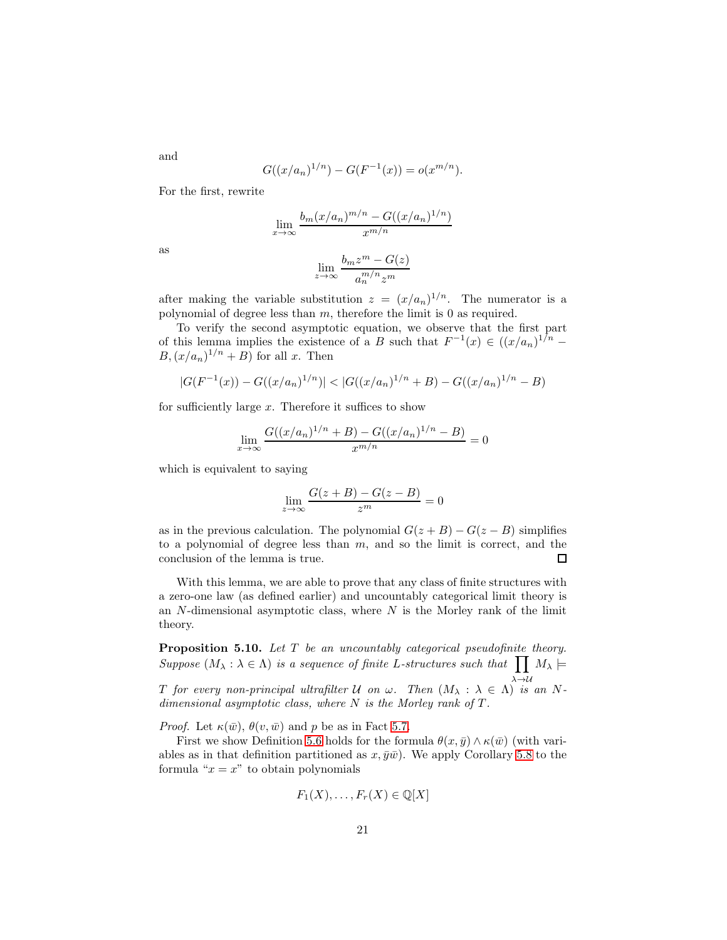$$
G((x/a_n)^{1/n}) - G(F^{-1}(x)) = o(x^{m/n}).
$$

For the first, rewrite

$$
\lim_{x \to \infty} \frac{b_m(x/a_n)^{m/n} - G((x/a_n)^{1/n})}{x^{m/n}}
$$

$$
\lim_{z \to \infty} \frac{b_m z^m - G(z)}{a_n^{m/n} z^m}
$$

after making the variable substitution  $z = (x/a_n)^{1/n}$ . The numerator is a polynomial of degree less than  $m$ , therefore the limit is 0 as required.

To verify the second asymptotic equation, we observe that the first part of this lemma implies the existence of a B such that  $F^{-1}(x) \in ((x/a_n)^{1/n} B, (x/a_n)^{1/n} + B$  for all x. Then

$$
|G(F^{-1}(x)) - G((x/a_n)^{1/n})| < |G((x/a_n)^{1/n} + B) - G((x/a_n)^{1/n} - B)|
$$

for sufficiently large  $x$ . Therefore it suffices to show

$$
\lim_{x \to \infty} \frac{G((x/a_n)^{1/n} + B) - G((x/a_n)^{1/n} - B)}{x^{m/n}} = 0
$$

which is equivalent to saying

$$
\lim_{z \to \infty} \frac{G(z+B) - G(z-B)}{z^m} = 0
$$

as in the previous calculation. The polynomial  $G(z + B) - G(z - B)$  simplifies to a polynomial of degree less than  $m$ , and so the limit is correct, and the conclusion of the lemma is true.  $\Box$ 

With this lemma, we are able to prove that any class of finite structures with a zero-one law (as defined earlier) and uncountably categorical limit theory is an  $N$ -dimensional asymptotic class, where  $N$  is the Morley rank of the limit theory.

**Proposition 5.10.** Let  $T$  be an uncountably categorical pseudofinite theory. Suppose  $(M_\lambda : \lambda \in \Lambda)$  is a sequence of finite L-structures such that  $\prod M_\lambda \models$ T for every non-principal ultrafilter U on  $\omega$ . Then  $(M_\lambda : \lambda \in \Lambda)$  is an Ndimensional asymptotic class, where  $N$  is the Morley rank of  $T$ .

*Proof.* Let  $\kappa(\bar{w})$ ,  $\theta(v, \bar{w})$  and p be as in Fact [5.7.](#page-18-0)

First we show Definition [5.6](#page-18-1) holds for the formula  $\theta(x,\bar{y}) \wedge \kappa(\bar{w})$  (with variables as in that definition partitioned as  $x, \bar{y}\bar{w}$ . We apply Corollary [5.8](#page-19-0) to the formula " $x = x$ " to obtain polynomials

$$
F_1(X),\ldots,F_r(X)\in\mathbb{Q}[X]
$$

and

as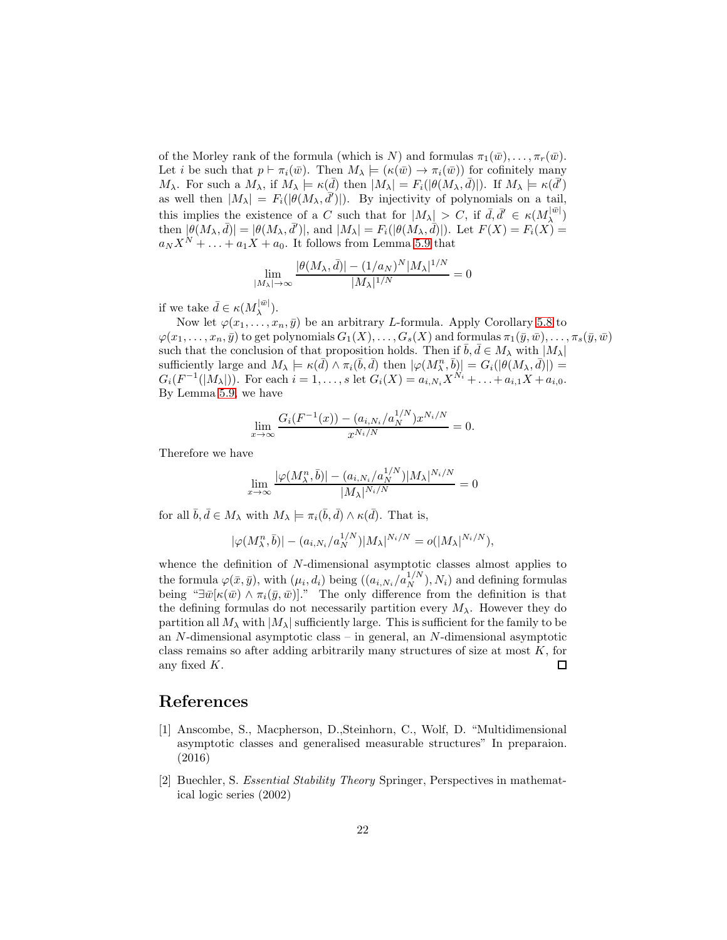of the Morley rank of the formula (which is N) and formulas  $\pi_1(\bar{w}), \ldots, \pi_r(\bar{w})$ . Let i be such that  $p \vdash \pi_i(\bar{w})$ . Then  $M_\lambda \models (\kappa(\bar{w}) \rightarrow \pi_i(\bar{w}))$  for cofinitely many  $M_{\lambda}$ . For such a  $M_{\lambda}$ , if  $M_{\lambda} \models \kappa(\bar{d})$  then  $|M_{\lambda}| = F_i(|\theta(M_{\lambda}, \bar{d})|)$ . If  $M_{\lambda} \models \kappa(\bar{d}')$ as well then  $|M_{\lambda}| = F_i(|\theta(M_{\lambda}, \bar{d}'))|$ . By injectivity of polynomials on a tail, this implies the existence of a C such that for  $|M_{\lambda}| > C$ , if  $\bar{d}, \bar{d}' \in \kappa(M_{\lambda}^{|\bar{w}|})$  $\lambda^{(w)}$ then  $|\theta(M_\lambda, \bar{d})| = |\theta(M_\lambda, \bar{d}')|$ , and  $|M_\lambda| = F_i(|\theta(M_\lambda, \bar{d})|)$ . Let  $F(X) = F_i(X) =$  $a_N X^N + \ldots + a_1 X + a_0$ . It follows from Lemma [5.9](#page-19-1) that

$$
\lim_{|M_{\lambda}| \to \infty} \frac{|\theta(M_{\lambda}, \bar{d})| - (1/a_N)^N |M_{\lambda}|^{1/N}}{|M_{\lambda}|^{1/N}} = 0
$$

if we take  $\bar{d} \in \kappa(M_{\lambda}^{|\bar{w}|})$  $\lambda^{|w|}$ ).

Now let  $\varphi(x_1,\ldots,x_n,\bar{y})$  be an arbitrary *L*-formula. Apply Corollary [5.8](#page-19-0) to  $\varphi(x_1,\ldots,x_n,\bar{y})$  to get polynomials  $G_1(X),\ldots,G_s(X)$  and formulas  $\pi_1(\bar{y},\bar{w}),\ldots,\pi_s(\bar{y},\bar{w})$ such that the conclusion of that proposition holds. Then if  $\overline{b}, \overline{d} \in M_\lambda$  with  $|M_\lambda|$ sufficiently large and  $M_{\lambda} \models \kappa(\bar{d}) \wedge \pi_i(\bar{b}, \bar{d})$  then  $|\varphi(M_{\lambda}^n, \bar{b})| = G_i(|\theta(M_{\lambda}, \bar{d})|) =$  $G_i(F^{-1}(|M_\lambda|)).$  For each  $i=1,\ldots,s$  let  $G_i(X) = a_{i,N_i}X^{N_i} + \ldots + a_{i,1}X + a_{i,0}$ . By Lemma [5.9,](#page-19-1) we have

$$
\lim_{x \to \infty} \frac{G_i(F^{-1}(x)) - (a_{i,N_i}/a_N^{1/N})x^{N_i/N}}{x^{N_i/N}} = 0.
$$

Therefore we have

$$
\lim_{x \to \infty} \frac{|\varphi(M_\lambda^n, \bar{b})| - (a_{i, N_i}/a_N^{1/N}) |M_\lambda|^{N_i/N}}{|M_\lambda|^{N_i/N}} = 0
$$

for all  $\bar{b}, \bar{d} \in M_\lambda$  with  $M_\lambda \models \pi_i(\bar{b}, \bar{d}) \wedge \kappa(\bar{d})$ . That is,

$$
|\varphi(M_\lambda^n, \bar{b})| - (a_{i,N_i}/a_N^{1/N})|M_\lambda|^{N_i/N} = o(|M_\lambda|^{N_i/N}),
$$

whence the definition of N-dimensional asymptotic classes almost applies to the formula  $\varphi(\bar{x}, \bar{y})$ , with  $(\mu_i, d_i)$  being  $((a_{i,N_i}/a_N^{1/N}), N_i)$  and defining formulas being " $\exists \bar{w}[\kappa(\bar{w}) \wedge \pi_i(\bar{y}, \bar{w})]$ ." The only difference from the definition is that the defining formulas do not necessarily partition every  $M_{\lambda}$ . However they do partition all  $M_{\lambda}$  with  $|M_{\lambda}|$  sufficiently large. This is sufficient for the family to be an N-dimensional asymptotic class – in general, an N-dimensional asymptotic class remains so after adding arbitrarily many structures of size at most  $K$ , for any fixed K.  $\Box$ 

#### <span id="page-21-1"></span>References

- [1] Anscombe, S., Macpherson, D.,Steinhorn, C., Wolf, D. "Multidimensional asymptotic classes and generalised measurable structures" In preparaion. (2016)
- <span id="page-21-0"></span>[2] Buechler, S. Essential Stability Theory Springer, Perspectives in mathematical logic series (2002)